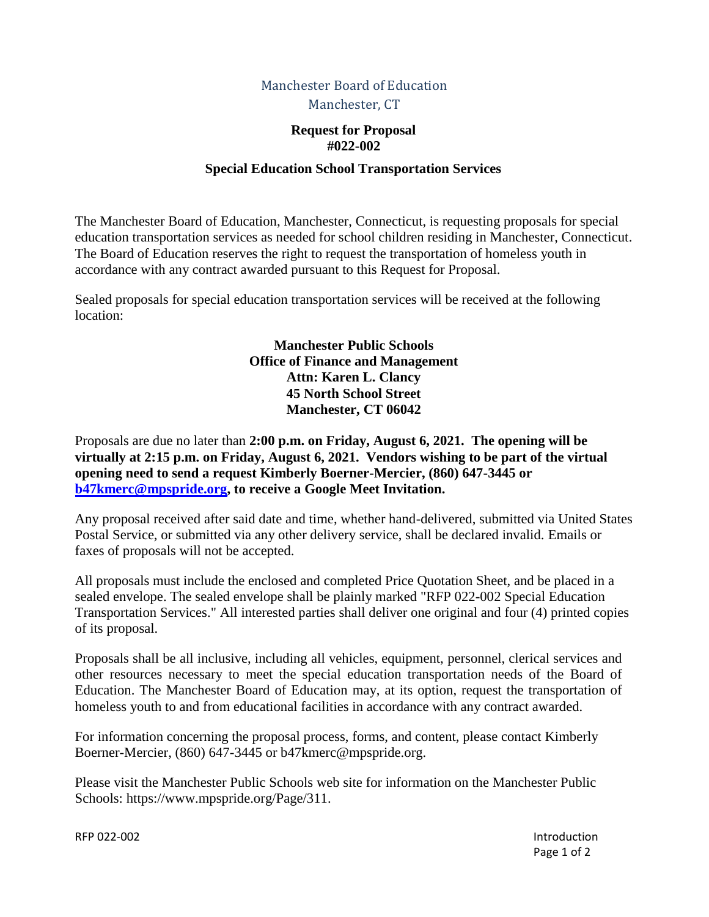# Manchester Board of Education Manchester, CT

### **Request for Proposal #022-002**

### **Special Education School Transportation Services**

The Manchester Board of Education, Manchester, Connecticut, is requesting proposals for special education transportation services as needed for school children residing in Manchester, Connecticut. The Board of Education reserves the right to request the transportation of homeless youth in accordance with any contract awarded pursuant to this Request for Proposal.

Sealed proposals for special education transportation services will be received at the following location:

> **Manchester Public Schools Office of Finance and Management Attn: Karen L. Clancy 45 North School Street Manchester, CT 06042**

Proposals are due no later than **2:00 p.m. on Friday, August 6, 2021. The opening will be virtually at 2:15 p.m. on Friday, August 6, 2021. Vendors wishing to be part of the virtual opening need to send a request Kimberly Boerner-Mercier, (860) 647-3445 or [b47kmerc@mpspride.org,](mailto:b47kmerc@mpspride.org) to receive a Google Meet Invitation.**

Any proposal received after said date and time, whether hand-delivered, submitted via United States Postal Service, or submitted via any other delivery service, shall be declared invalid. Emails or faxes of proposals will not be accepted.

All proposals must include the enclosed and completed Price Quotation Sheet, and be placed in a sealed envelope. The sealed envelope shall be plainly marked "RFP 022-002 Special Education Transportation Services." All interested parties shall deliver one original and four (4) printed copies of its proposal.

Proposals shall be all inclusive, including all vehicles, equipment, personnel, clerical services and other resources necessary to meet the special education transportation needs of the Board of Education. The Manchester Board of Education may, at its option, request the transportation of homeless youth to and from educational facilities in accordance with any contract awarded.

For information concerning the proposal process, forms, and content, please contact Kimberly Boerner-Mercier, (860) 647-3445 or b47kmerc@mpspride.org.

Please visit the Manchester Public Schools web site for information on the Manchester Public Schools: https://www.mpspride.org/Page/311.

RFP 022-002 **Introduction** Page 1 of 2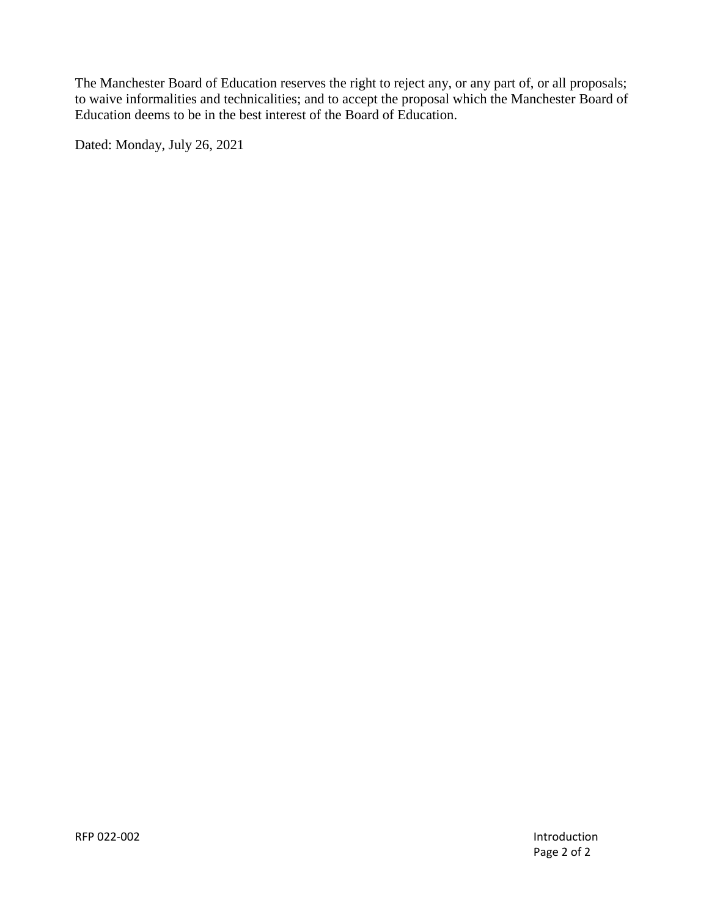The Manchester Board of Education reserves the right to reject any, or any part of, or all proposals; to waive informalities and technicalities; and to accept the proposal which the Manchester Board of Education deems to be in the best interest of the Board of Education.

Dated: Monday, July 26, 2021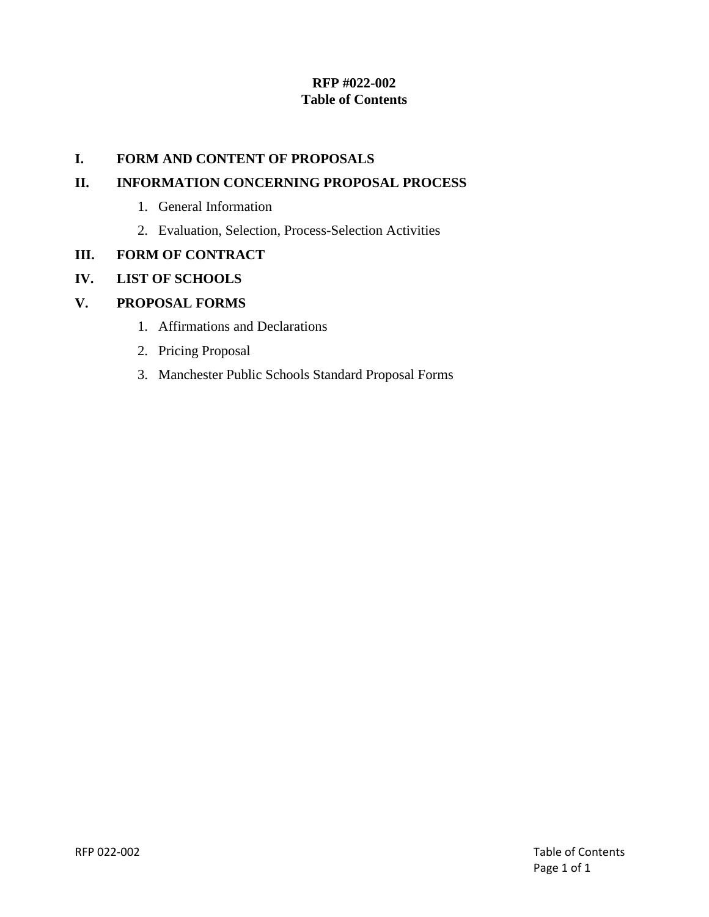# **RFP #022-002 Table of Contents**

## **I. FORM AND CONTENT OF PROPOSALS**

## **II. INFORMATION CONCERNING PROPOSAL PROCESS**

- 1. General Information
- 2. Evaluation, Selection, Process-Selection Activities

## **III. FORM OF CONTRACT**

# **IV. LIST OF SCHOOLS**

# **V. PROPOSAL FORMS**

- 1. Affirmations and Declarations
- 2. Pricing Proposal
- 3. Manchester Public Schools Standard Proposal Forms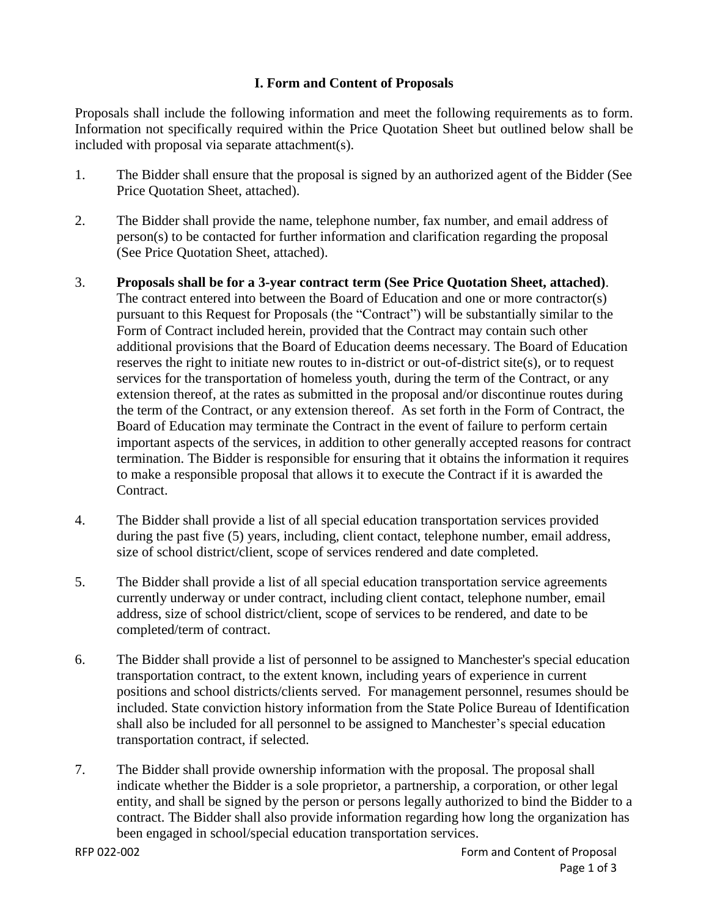# **I. Form and Content of Proposals**

Proposals shall include the following information and meet the following requirements as to form. Information not specifically required within the Price Quotation Sheet but outlined below shall be included with proposal via separate attachment(s).

- 1. The Bidder shall ensure that the proposal is signed by an authorized agent of the Bidder (See Price Quotation Sheet, attached).
- 2. The Bidder shall provide the name, telephone number, fax number, and email address of person(s) to be contacted for further information and clarification regarding the proposal (See Price Quotation Sheet, attached).
- 3. **Proposals shall be for a 3-year contract term (See Price Quotation Sheet, attached)**. The contract entered into between the Board of Education and one or more contractor(s) pursuant to this Request for Proposals (the "Contract") will be substantially similar to the Form of Contract included herein, provided that the Contract may contain such other additional provisions that the Board of Education deems necessary. The Board of Education reserves the right to initiate new routes to in-district or out-of-district site(s), or to request services for the transportation of homeless youth, during the term of the Contract, or any extension thereof, at the rates as submitted in the proposal and/or discontinue routes during the term of the Contract, or any extension thereof. As set forth in the Form of Contract, the Board of Education may terminate the Contract in the event of failure to perform certain important aspects of the services, in addition to other generally accepted reasons for contract termination. The Bidder is responsible for ensuring that it obtains the information it requires to make a responsible proposal that allows it to execute the Contract if it is awarded the Contract.
- 4. The Bidder shall provide a list of all special education transportation services provided during the past five (5) years, including, client contact, telephone number, email address, size of school district/client, scope of services rendered and date completed.
- 5. The Bidder shall provide a list of all special education transportation service agreements currently underway or under contract, including client contact, telephone number, email address, size of school district/client, scope of services to be rendered, and date to be completed/term of contract.
- 6. The Bidder shall provide a list of personnel to be assigned to Manchester's special education transportation contract, to the extent known, including years of experience in current positions and school districts/clients served. For management personnel, resumes should be included. State conviction history information from the State Police Bureau of Identification shall also be included for all personnel to be assigned to Manchester's special education transportation contract, if selected.
- 7. The Bidder shall provide ownership information with the proposal. The proposal shall indicate whether the Bidder is a sole proprietor, a partnership, a corporation, or other legal entity, and shall be signed by the person or persons legally authorized to bind the Bidder to a contract. The Bidder shall also provide information regarding how long the organization has been engaged in school/special education transportation services.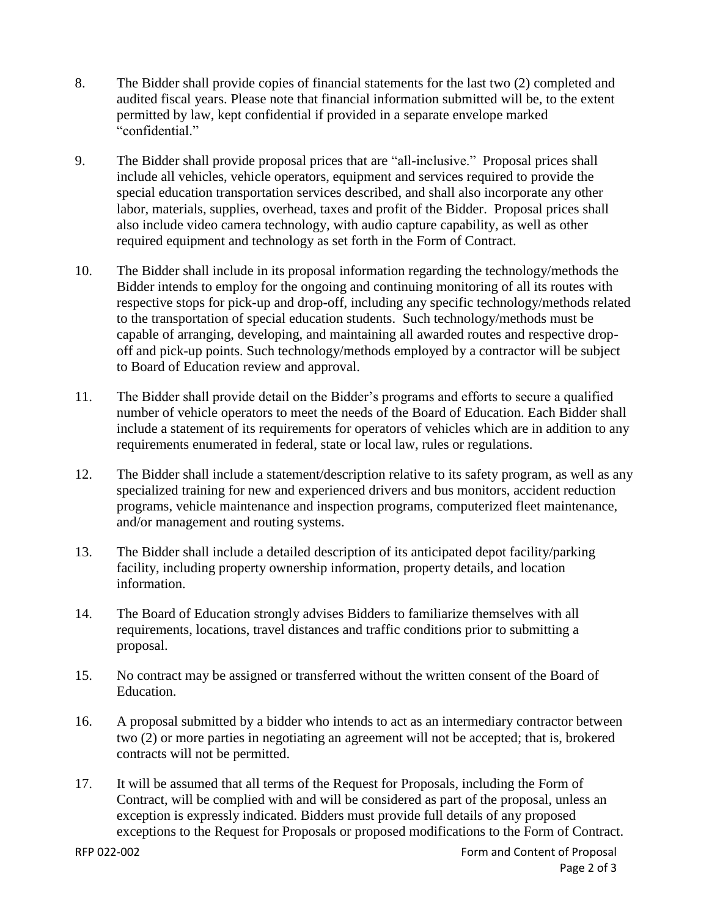- 8. The Bidder shall provide copies of financial statements for the last two (2) completed and audited fiscal years. Please note that financial information submitted will be, to the extent permitted by law, kept confidential if provided in a separate envelope marked "confidential."
- 9. The Bidder shall provide proposal prices that are "all-inclusive." Proposal prices shall include all vehicles, vehicle operators, equipment and services required to provide the special education transportation services described, and shall also incorporate any other labor, materials, supplies, overhead, taxes and profit of the Bidder. Proposal prices shall also include video camera technology, with audio capture capability, as well as other required equipment and technology as set forth in the Form of Contract.
- 10. The Bidder shall include in its proposal information regarding the technology/methods the Bidder intends to employ for the ongoing and continuing monitoring of all its routes with respective stops for pick-up and drop-off, including any specific technology/methods related to the transportation of special education students. Such technology/methods must be capable of arranging, developing, and maintaining all awarded routes and respective dropoff and pick-up points. Such technology/methods employed by a contractor will be subject to Board of Education review and approval.
- 11. The Bidder shall provide detail on the Bidder's programs and efforts to secure a qualified number of vehicle operators to meet the needs of the Board of Education. Each Bidder shall include a statement of its requirements for operators of vehicles which are in addition to any requirements enumerated in federal, state or local law, rules or regulations.
- 12. The Bidder shall include a statement/description relative to its safety program, as well as any specialized training for new and experienced drivers and bus monitors, accident reduction programs, vehicle maintenance and inspection programs, computerized fleet maintenance, and/or management and routing systems.
- 13. The Bidder shall include a detailed description of its anticipated depot facility/parking facility, including property ownership information, property details, and location information.
- 14. The Board of Education strongly advises Bidders to familiarize themselves with all requirements, locations, travel distances and traffic conditions prior to submitting a proposal.
- 15. No contract may be assigned or transferred without the written consent of the Board of Education.
- 16. A proposal submitted by a bidder who intends to act as an intermediary contractor between two (2) or more parties in negotiating an agreement will not be accepted; that is, brokered contracts will not be permitted.
- 17. It will be assumed that all terms of the Request for Proposals, including the Form of Contract, will be complied with and will be considered as part of the proposal, unless an exception is expressly indicated. Bidders must provide full details of any proposed exceptions to the Request for Proposals or proposed modifications to the Form of Contract.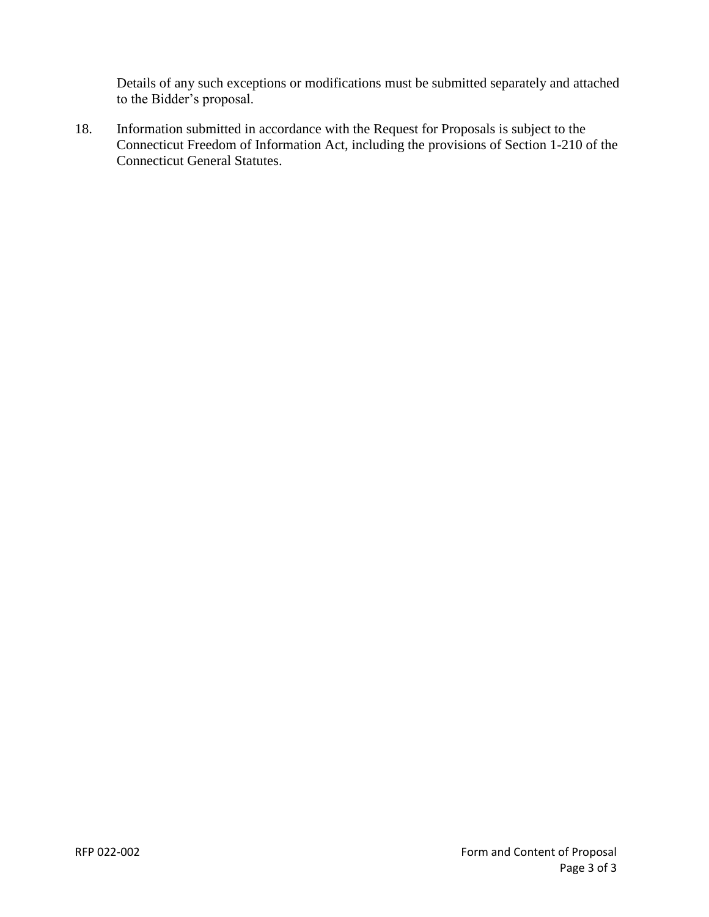Details of any such exceptions or modifications must be submitted separately and attached to the Bidder's proposal.

18. Information submitted in accordance with the Request for Proposals is subject to the Connecticut Freedom of Information Act, including the provisions of Section 1-210 of the Connecticut General Statutes.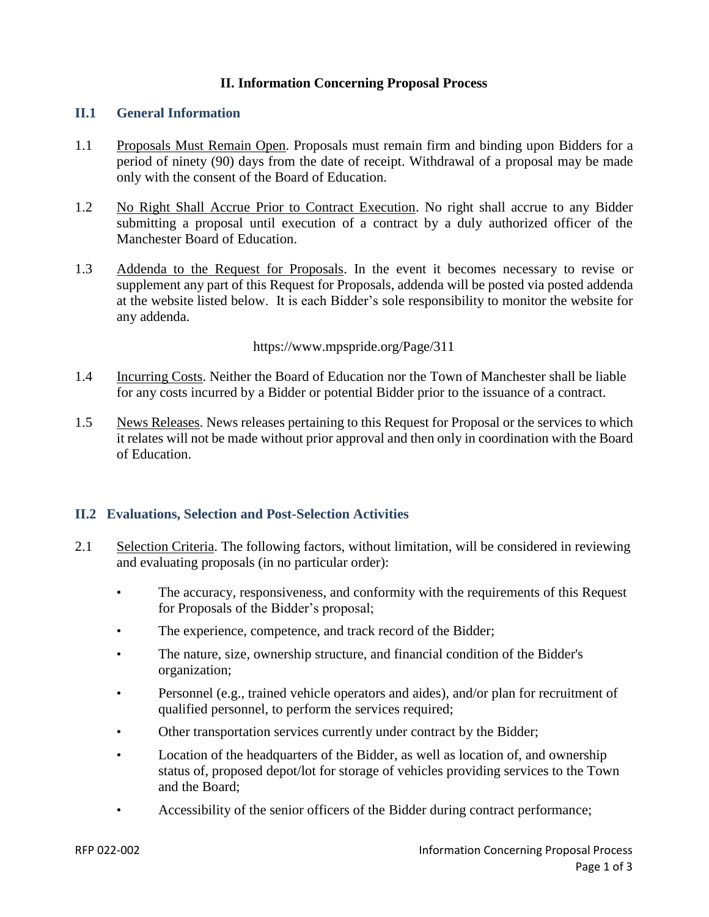### **II. Information Concerning Proposal Process**

#### **II.1 General Information**

- 1.1 Proposals Must Remain Open. Proposals must remain firm and binding upon Bidders for a period of ninety (90) days from the date of receipt. Withdrawal of a proposal may be made only with the consent of the Board of Education.
- 1.2 No Right Shall Accrue Prior to Contract Execution. No right shall accrue to any Bidder submitting a proposal until execution of a contract by a duly authorized officer of the Manchester Board of Education.
- 1.3 Addenda to the Request for Proposals. In the event it becomes necessary to revise or supplement any part of this Request for Proposals, addenda will be posted via posted addenda at the website listed below. It is each Bidder's sole responsibility to monitor the website for any addenda.

https://www.mpspride.org/Page/311

- 1.4 Incurring Costs. Neither the Board of Education nor the Town of Manchester shall be liable for any costs incurred by a Bidder or potential Bidder prior to the issuance of a contract.
- 1.5 News Releases. News releases pertaining to this Request for Proposal or the services to which it relates will not be made without prior approval and then only in coordination with the Board of Education.

#### **II.2 Evaluations, Selection and Post-Selection Activities**

- 2.1 Selection Criteria. The following factors, without limitation, will be considered in reviewing and evaluating proposals (in no particular order):
	- The accuracy, responsiveness, and conformity with the requirements of this Request for Proposals of the Bidder's proposal;
	- The experience, competence, and track record of the Bidder;
	- The nature, size, ownership structure, and financial condition of the Bidder's organization;
	- Personnel (e.g., trained vehicle operators and aides), and/or plan for recruitment of qualified personnel, to perform the services required;
	- Other transportation services currently under contract by the Bidder;
	- Location of the headquarters of the Bidder, as well as location of, and ownership status of, proposed depot/lot for storage of vehicles providing services to the Town and the Board;
	- Accessibility of the senior officers of the Bidder during contract performance;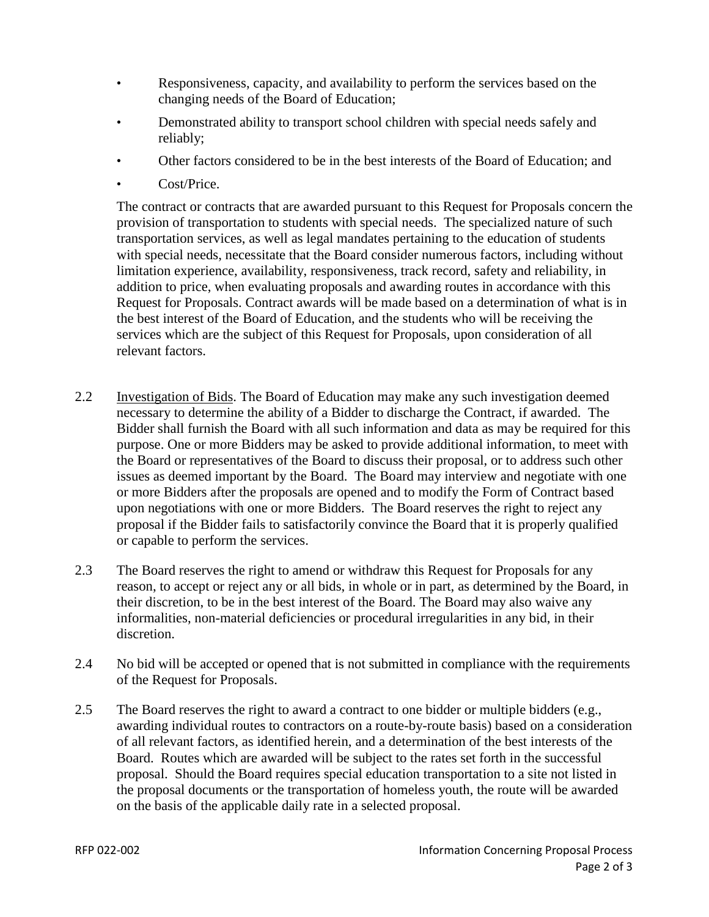- Responsiveness, capacity, and availability to perform the services based on the changing needs of the Board of Education;
- Demonstrated ability to transport school children with special needs safely and reliably;
- Other factors considered to be in the best interests of the Board of Education; and
- Cost/Price.

The contract or contracts that are awarded pursuant to this Request for Proposals concern the provision of transportation to students with special needs. The specialized nature of such transportation services, as well as legal mandates pertaining to the education of students with special needs, necessitate that the Board consider numerous factors, including without limitation experience, availability, responsiveness, track record, safety and reliability, in addition to price, when evaluating proposals and awarding routes in accordance with this Request for Proposals. Contract awards will be made based on a determination of what is in the best interest of the Board of Education, and the students who will be receiving the services which are the subject of this Request for Proposals, upon consideration of all relevant factors.

- 2.2 Investigation of Bids. The Board of Education may make any such investigation deemed necessary to determine the ability of a Bidder to discharge the Contract, if awarded. The Bidder shall furnish the Board with all such information and data as may be required for this purpose. One or more Bidders may be asked to provide additional information, to meet with the Board or representatives of the Board to discuss their proposal, or to address such other issues as deemed important by the Board. The Board may interview and negotiate with one or more Bidders after the proposals are opened and to modify the Form of Contract based upon negotiations with one or more Bidders. The Board reserves the right to reject any proposal if the Bidder fails to satisfactorily convince the Board that it is properly qualified or capable to perform the services.
- 2.3 The Board reserves the right to amend or withdraw this Request for Proposals for any reason, to accept or reject any or all bids, in whole or in part, as determined by the Board, in their discretion, to be in the best interest of the Board. The Board may also waive any informalities, non-material deficiencies or procedural irregularities in any bid, in their discretion.
- 2.4 No bid will be accepted or opened that is not submitted in compliance with the requirements of the Request for Proposals.
- 2.5 The Board reserves the right to award a contract to one bidder or multiple bidders (e.g., awarding individual routes to contractors on a route-by-route basis) based on a consideration of all relevant factors, as identified herein, and a determination of the best interests of the Board. Routes which are awarded will be subject to the rates set forth in the successful proposal. Should the Board requires special education transportation to a site not listed in the proposal documents or the transportation of homeless youth, the route will be awarded on the basis of the applicable daily rate in a selected proposal.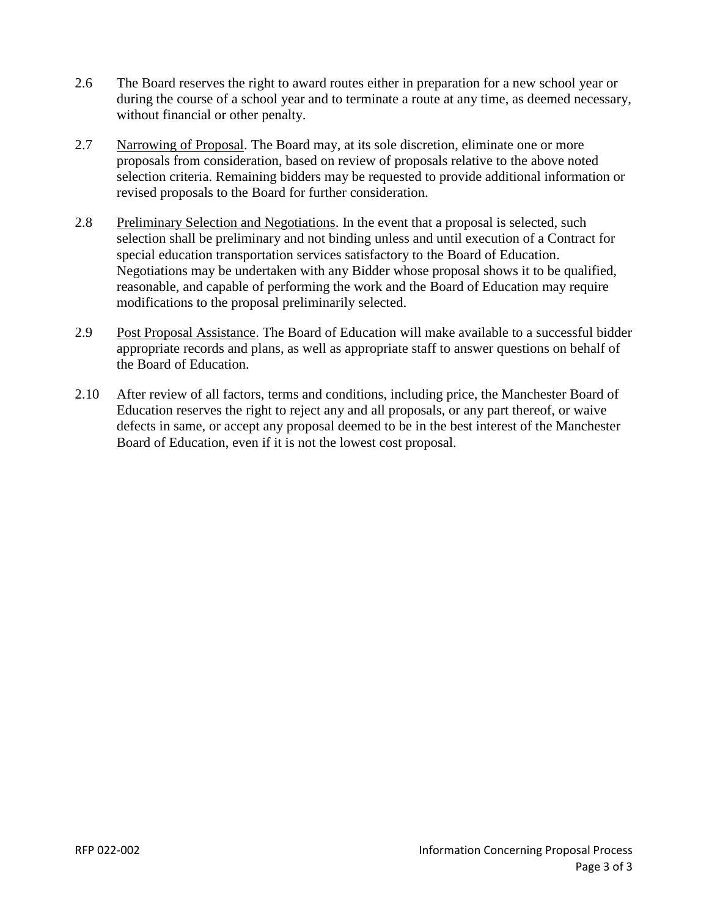- 2.6 The Board reserves the right to award routes either in preparation for a new school year or during the course of a school year and to terminate a route at any time, as deemed necessary, without financial or other penalty.
- 2.7 Narrowing of Proposal. The Board may, at its sole discretion, eliminate one or more proposals from consideration, based on review of proposals relative to the above noted selection criteria. Remaining bidders may be requested to provide additional information or revised proposals to the Board for further consideration.
- 2.8 Preliminary Selection and Negotiations. In the event that a proposal is selected, such selection shall be preliminary and not binding unless and until execution of a Contract for special education transportation services satisfactory to the Board of Education. Negotiations may be undertaken with any Bidder whose proposal shows it to be qualified, reasonable, and capable of performing the work and the Board of Education may require modifications to the proposal preliminarily selected.
- 2.9 Post Proposal Assistance. The Board of Education will make available to a successful bidder appropriate records and plans, as well as appropriate staff to answer questions on behalf of the Board of Education.
- 2.10 After review of all factors, terms and conditions, including price, the Manchester Board of Education reserves the right to reject any and all proposals, or any part thereof, or waive defects in same, or accept any proposal deemed to be in the best interest of the Manchester Board of Education, even if it is not the lowest cost proposal.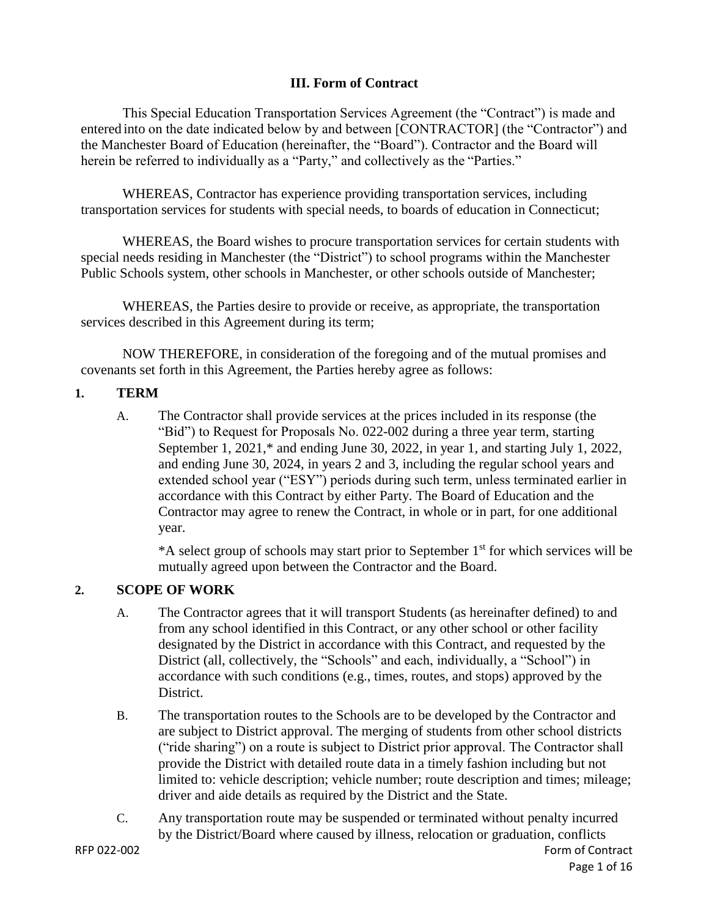# **III. Form of Contract**

This Special Education Transportation Services Agreement (the "Contract") is made and entered into on the date indicated below by and between [CONTRACTOR] (the "Contractor") and the Manchester Board of Education (hereinafter, the "Board"). Contractor and the Board will herein be referred to individually as a "Party," and collectively as the "Parties."

WHEREAS, Contractor has experience providing transportation services, including transportation services for students with special needs, to boards of education in Connecticut;

WHEREAS, the Board wishes to procure transportation services for certain students with special needs residing in Manchester (the "District") to school programs within the Manchester Public Schools system, other schools in Manchester, or other schools outside of Manchester;

WHEREAS, the Parties desire to provide or receive, as appropriate, the transportation services described in this Agreement during its term;

NOW THEREFORE, in consideration of the foregoing and of the mutual promises and covenants set forth in this Agreement, the Parties hereby agree as follows:

### **1. TERM**

A. The Contractor shall provide services at the prices included in its response (the "Bid") to Request for Proposals No. 022-002 during a three year term, starting September 1, 2021,\* and ending June 30, 2022, in year 1, and starting July 1, 2022, and ending June 30, 2024, in years 2 and 3, including the regular school years and extended school year ("ESY") periods during such term, unless terminated earlier in accordance with this Contract by either Party. The Board of Education and the Contractor may agree to renew the Contract, in whole or in part, for one additional year.

 $*A$  select group of schools may start prior to September  $1<sup>st</sup>$  for which services will be mutually agreed upon between the Contractor and the Board.

# **2. SCOPE OF WORK**

- A. The Contractor agrees that it will transport Students (as hereinafter defined) to and from any school identified in this Contract, or any other school or other facility designated by the District in accordance with this Contract, and requested by the District (all, collectively, the "Schools" and each, individually, a "School") in accordance with such conditions (e.g., times, routes, and stops) approved by the District.
- B. The transportation routes to the Schools are to be developed by the Contractor and are subject to District approval. The merging of students from other school districts ("ride sharing") on a route is subject to District prior approval. The Contractor shall provide the District with detailed route data in a timely fashion including but not limited to: vehicle description; vehicle number; route description and times; mileage; driver and aide details as required by the District and the State.
- C. Any transportation route may be suspended or terminated without penalty incurred by the District/Board where caused by illness, relocation or graduation, conflicts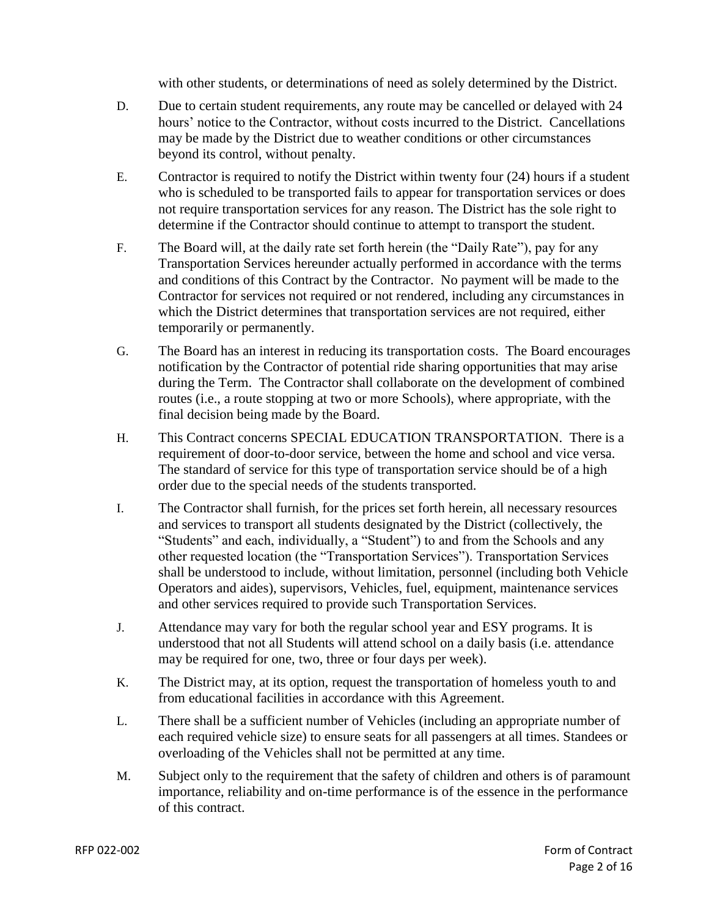with other students, or determinations of need as solely determined by the District.

- D. Due to certain student requirements, any route may be cancelled or delayed with 24 hours' notice to the Contractor, without costs incurred to the District. Cancellations may be made by the District due to weather conditions or other circumstances beyond its control, without penalty.
- E. Contractor is required to notify the District within twenty four (24) hours if a student who is scheduled to be transported fails to appear for transportation services or does not require transportation services for any reason. The District has the sole right to determine if the Contractor should continue to attempt to transport the student.
- F. The Board will, at the daily rate set forth herein (the "Daily Rate"), pay for any Transportation Services hereunder actually performed in accordance with the terms and conditions of this Contract by the Contractor. No payment will be made to the Contractor for services not required or not rendered, including any circumstances in which the District determines that transportation services are not required, either temporarily or permanently.
- G. The Board has an interest in reducing its transportation costs. The Board encourages notification by the Contractor of potential ride sharing opportunities that may arise during the Term. The Contractor shall collaborate on the development of combined routes (i.e., a route stopping at two or more Schools), where appropriate, with the final decision being made by the Board.
- H. This Contract concerns SPECIAL EDUCATION TRANSPORTATION. There is a requirement of door-to-door service, between the home and school and vice versa. The standard of service for this type of transportation service should be of a high order due to the special needs of the students transported.
- I. The Contractor shall furnish, for the prices set forth herein, all necessary resources and services to transport all students designated by the District (collectively, the "Students" and each, individually, a "Student") to and from the Schools and any other requested location (the "Transportation Services"). Transportation Services shall be understood to include, without limitation, personnel (including both Vehicle Operators and aides), supervisors, Vehicles, fuel, equipment, maintenance services and other services required to provide such Transportation Services.
- J. Attendance may vary for both the regular school year and ESY programs. It is understood that not all Students will attend school on a daily basis (i.e. attendance may be required for one, two, three or four days per week).
- K. The District may, at its option, request the transportation of homeless youth to and from educational facilities in accordance with this Agreement.
- L. There shall be a sufficient number of Vehicles (including an appropriate number of each required vehicle size) to ensure seats for all passengers at all times. Standees or overloading of the Vehicles shall not be permitted at any time.
- M. Subject only to the requirement that the safety of children and others is of paramount importance, reliability and on-time performance is of the essence in the performance of this contract.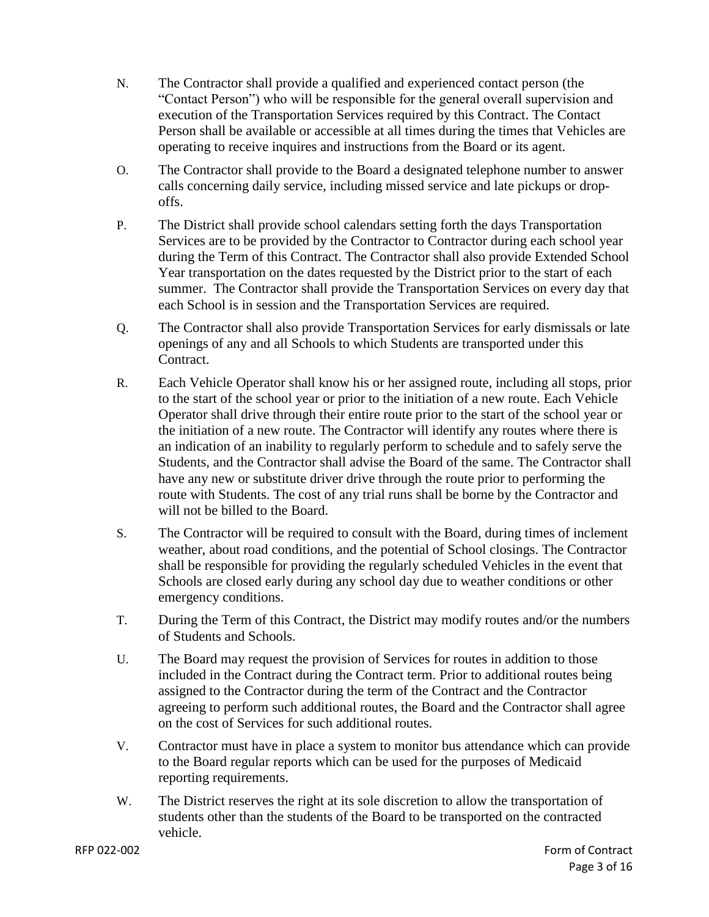- N. The Contractor shall provide a qualified and experienced contact person (the "Contact Person") who will be responsible for the general overall supervision and execution of the Transportation Services required by this Contract. The Contact Person shall be available or accessible at all times during the times that Vehicles are operating to receive inquires and instructions from the Board or its agent.
- O. The Contractor shall provide to the Board a designated telephone number to answer calls concerning daily service, including missed service and late pickups or dropoffs.
- P. The District shall provide school calendars setting forth the days Transportation Services are to be provided by the Contractor to Contractor during each school year during the Term of this Contract. The Contractor shall also provide Extended School Year transportation on the dates requested by the District prior to the start of each summer. The Contractor shall provide the Transportation Services on every day that each School is in session and the Transportation Services are required.
- Q. The Contractor shall also provide Transportation Services for early dismissals or late openings of any and all Schools to which Students are transported under this Contract.
- R. Each Vehicle Operator shall know his or her assigned route, including all stops, prior to the start of the school year or prior to the initiation of a new route. Each Vehicle Operator shall drive through their entire route prior to the start of the school year or the initiation of a new route. The Contractor will identify any routes where there is an indication of an inability to regularly perform to schedule and to safely serve the Students, and the Contractor shall advise the Board of the same. The Contractor shall have any new or substitute driver drive through the route prior to performing the route with Students. The cost of any trial runs shall be borne by the Contractor and will not be billed to the Board.
- S. The Contractor will be required to consult with the Board, during times of inclement weather, about road conditions, and the potential of School closings. The Contractor shall be responsible for providing the regularly scheduled Vehicles in the event that Schools are closed early during any school day due to weather conditions or other emergency conditions.
- T. During the Term of this Contract, the District may modify routes and/or the numbers of Students and Schools.
- U. The Board may request the provision of Services for routes in addition to those included in the Contract during the Contract term. Prior to additional routes being assigned to the Contractor during the term of the Contract and the Contractor agreeing to perform such additional routes, the Board and the Contractor shall agree on the cost of Services for such additional routes.
- V. Contractor must have in place a system to monitor bus attendance which can provide to the Board regular reports which can be used for the purposes of Medicaid reporting requirements.
- W. The District reserves the right at its sole discretion to allow the transportation of students other than the students of the Board to be transported on the contracted vehicle.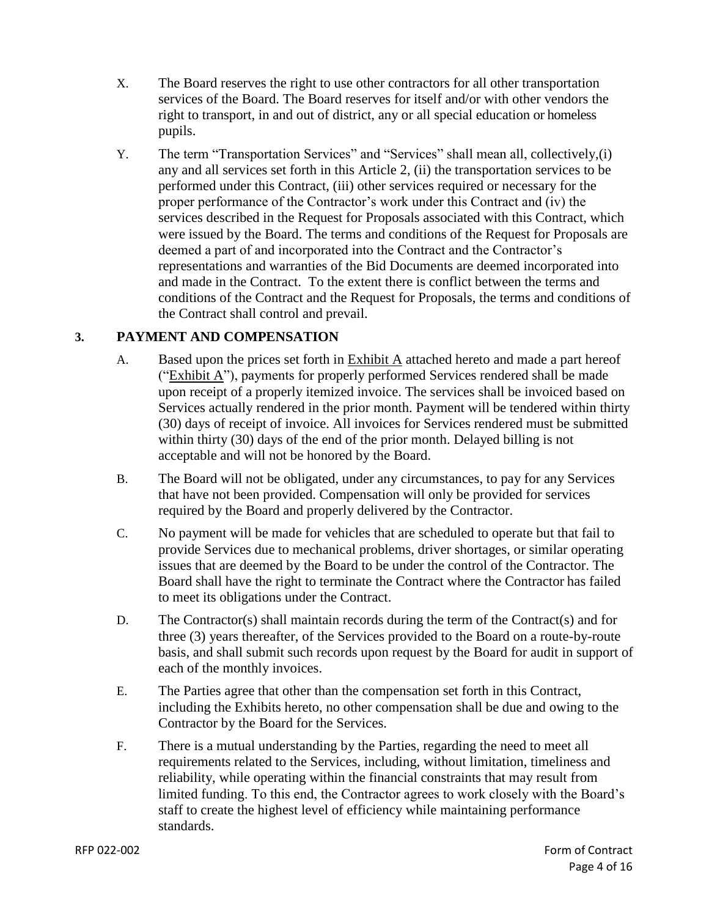- X. The Board reserves the right to use other contractors for all other transportation services of the Board. The Board reserves for itself and/or with other vendors the right to transport, in and out of district, any or all special education or homeless pupils.
- Y. The term "Transportation Services" and "Services" shall mean all, collectively,(i) any and all services set forth in this Article 2, (ii) the transportation services to be performed under this Contract, (iii) other services required or necessary for the proper performance of the Contractor's work under this Contract and (iv) the services described in the Request for Proposals associated with this Contract, which were issued by the Board. The terms and conditions of the Request for Proposals are deemed a part of and incorporated into the Contract and the Contractor's representations and warranties of the Bid Documents are deemed incorporated into and made in the Contract. To the extent there is conflict between the terms and conditions of the Contract and the Request for Proposals, the terms and conditions of the Contract shall control and prevail.

# **3. PAYMENT AND COMPENSATION**

- A. Based upon the prices set forth in Exhibit A attached hereto and made a part hereof ("Exhibit A"), payments for properly performed Services rendered shall be made upon receipt of a properly itemized invoice. The services shall be invoiced based on Services actually rendered in the prior month. Payment will be tendered within thirty (30) days of receipt of invoice. All invoices for Services rendered must be submitted within thirty (30) days of the end of the prior month. Delayed billing is not acceptable and will not be honored by the Board.
- B. The Board will not be obligated, under any circumstances, to pay for any Services that have not been provided. Compensation will only be provided for services required by the Board and properly delivered by the Contractor.
- C. No payment will be made for vehicles that are scheduled to operate but that fail to provide Services due to mechanical problems, driver shortages, or similar operating issues that are deemed by the Board to be under the control of the Contractor. The Board shall have the right to terminate the Contract where the Contractor has failed to meet its obligations under the Contract.
- D. The Contractor(s) shall maintain records during the term of the Contract(s) and for three (3) years thereafter, of the Services provided to the Board on a route-by-route basis, and shall submit such records upon request by the Board for audit in support of each of the monthly invoices.
- E. The Parties agree that other than the compensation set forth in this Contract, including the Exhibits hereto, no other compensation shall be due and owing to the Contractor by the Board for the Services.
- F. There is a mutual understanding by the Parties, regarding the need to meet all requirements related to the Services, including, without limitation, timeliness and reliability, while operating within the financial constraints that may result from limited funding. To this end, the Contractor agrees to work closely with the Board's staff to create the highest level of efficiency while maintaining performance standards.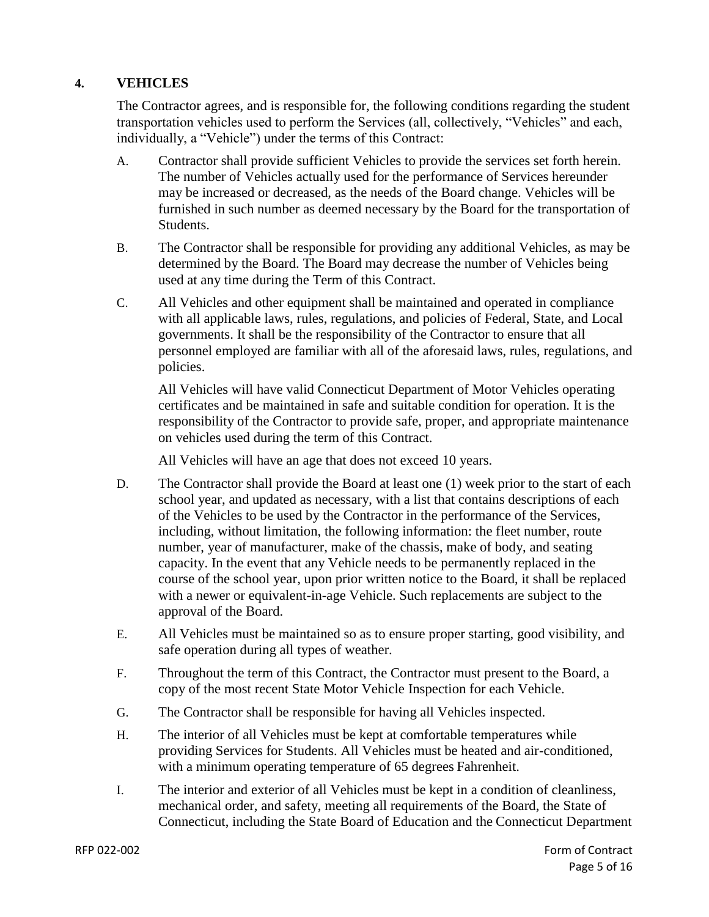## **4. VEHICLES**

The Contractor agrees, and is responsible for, the following conditions regarding the student transportation vehicles used to perform the Services (all, collectively, "Vehicles" and each, individually, a "Vehicle") under the terms of this Contract:

- A. Contractor shall provide sufficient Vehicles to provide the services set forth herein. The number of Vehicles actually used for the performance of Services hereunder may be increased or decreased, as the needs of the Board change. Vehicles will be furnished in such number as deemed necessary by the Board for the transportation of Students.
- B. The Contractor shall be responsible for providing any additional Vehicles, as may be determined by the Board. The Board may decrease the number of Vehicles being used at any time during the Term of this Contract.
- C. All Vehicles and other equipment shall be maintained and operated in compliance with all applicable laws, rules, regulations, and policies of Federal, State, and Local governments. It shall be the responsibility of the Contractor to ensure that all personnel employed are familiar with all of the aforesaid laws, rules, regulations, and policies.

All Vehicles will have valid Connecticut Department of Motor Vehicles operating certificates and be maintained in safe and suitable condition for operation. It is the responsibility of the Contractor to provide safe, proper, and appropriate maintenance on vehicles used during the term of this Contract.

All Vehicles will have an age that does not exceed 10 years.

- D. The Contractor shall provide the Board at least one (1) week prior to the start of each school year, and updated as necessary, with a list that contains descriptions of each of the Vehicles to be used by the Contractor in the performance of the Services, including, without limitation, the following information: the fleet number, route number, year of manufacturer, make of the chassis, make of body, and seating capacity. In the event that any Vehicle needs to be permanently replaced in the course of the school year, upon prior written notice to the Board, it shall be replaced with a newer or equivalent-in-age Vehicle. Such replacements are subject to the approval of the Board.
- E. All Vehicles must be maintained so as to ensure proper starting, good visibility, and safe operation during all types of weather.
- F. Throughout the term of this Contract, the Contractor must present to the Board, a copy of the most recent State Motor Vehicle Inspection for each Vehicle.
- G. The Contractor shall be responsible for having all Vehicles inspected.
- H. The interior of all Vehicles must be kept at comfortable temperatures while providing Services for Students. All Vehicles must be heated and air-conditioned, with a minimum operating temperature of 65 degrees Fahrenheit.
- I. The interior and exterior of all Vehicles must be kept in a condition of cleanliness, mechanical order, and safety, meeting all requirements of the Board, the State of Connecticut, including the State Board of Education and the Connecticut Department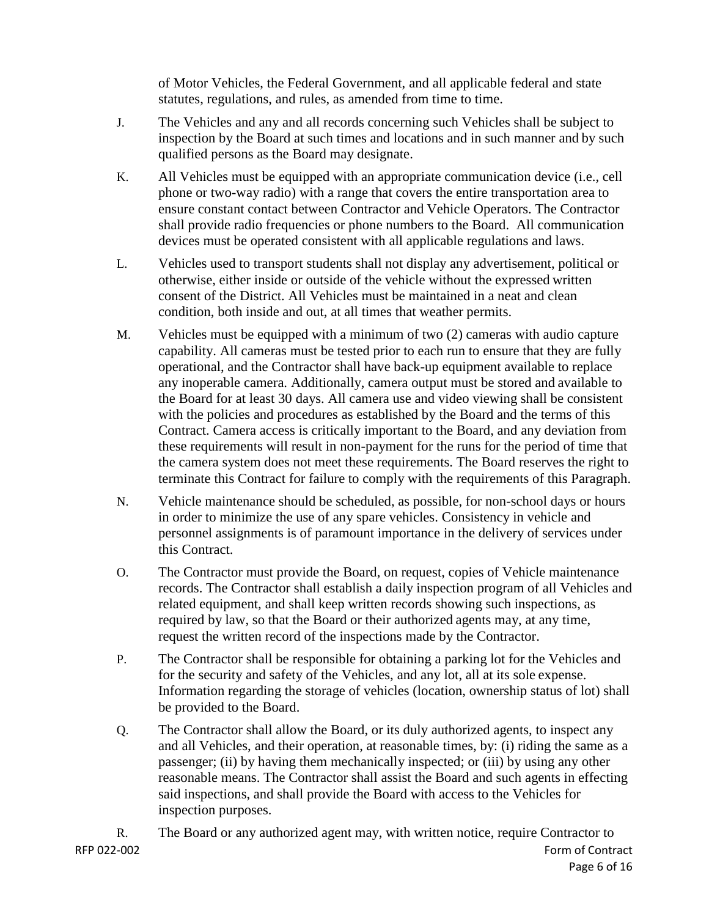of Motor Vehicles, the Federal Government, and all applicable federal and state statutes, regulations, and rules, as amended from time to time.

- J. The Vehicles and any and all records concerning such Vehicles shall be subject to inspection by the Board at such times and locations and in such manner and by such qualified persons as the Board may designate.
- K. All Vehicles must be equipped with an appropriate communication device (i.e., cell phone or two-way radio) with a range that covers the entire transportation area to ensure constant contact between Contractor and Vehicle Operators. The Contractor shall provide radio frequencies or phone numbers to the Board. All communication devices must be operated consistent with all applicable regulations and laws.
- L. Vehicles used to transport students shall not display any advertisement, political or otherwise, either inside or outside of the vehicle without the expressed written consent of the District. All Vehicles must be maintained in a neat and clean condition, both inside and out, at all times that weather permits.
- M. Vehicles must be equipped with a minimum of two (2) cameras with audio capture capability. All cameras must be tested prior to each run to ensure that they are fully operational, and the Contractor shall have back-up equipment available to replace any inoperable camera. Additionally, camera output must be stored and available to the Board for at least 30 days. All camera use and video viewing shall be consistent with the policies and procedures as established by the Board and the terms of this Contract. Camera access is critically important to the Board, and any deviation from these requirements will result in non-payment for the runs for the period of time that the camera system does not meet these requirements. The Board reserves the right to terminate this Contract for failure to comply with the requirements of this Paragraph.
- N. Vehicle maintenance should be scheduled, as possible, for non-school days or hours in order to minimize the use of any spare vehicles. Consistency in vehicle and personnel assignments is of paramount importance in the delivery of services under this Contract.
- O. The Contractor must provide the Board, on request, copies of Vehicle maintenance records. The Contractor shall establish a daily inspection program of all Vehicles and related equipment, and shall keep written records showing such inspections, as required by law, so that the Board or their authorized agents may, at any time, request the written record of the inspections made by the Contractor.
- P. The Contractor shall be responsible for obtaining a parking lot for the Vehicles and for the security and safety of the Vehicles, and any lot, all at its sole expense. Information regarding the storage of vehicles (location, ownership status of lot) shall be provided to the Board.
- Q. The Contractor shall allow the Board, or its duly authorized agents, to inspect any and all Vehicles, and their operation, at reasonable times, by: (i) riding the same as a passenger; (ii) by having them mechanically inspected; or (iii) by using any other reasonable means. The Contractor shall assist the Board and such agents in effecting said inspections, and shall provide the Board with access to the Vehicles for inspection purposes.

RFP 022-002 Form of Contract Page 6 of 16 R. The Board or any authorized agent may, with written notice, require Contractor to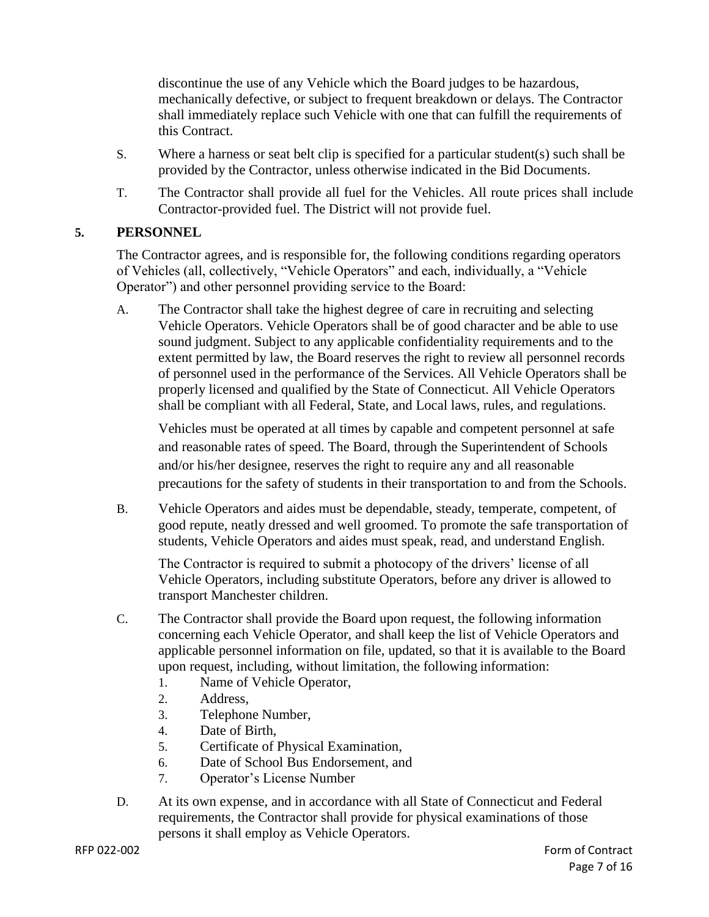discontinue the use of any Vehicle which the Board judges to be hazardous, mechanically defective, or subject to frequent breakdown or delays. The Contractor shall immediately replace such Vehicle with one that can fulfill the requirements of this Contract.

- S. Where a harness or seat belt clip is specified for a particular student(s) such shall be provided by the Contractor, unless otherwise indicated in the Bid Documents.
- T. The Contractor shall provide all fuel for the Vehicles. All route prices shall include Contractor-provided fuel. The District will not provide fuel.

# **5. PERSONNEL**

The Contractor agrees, and is responsible for, the following conditions regarding operators of Vehicles (all, collectively, "Vehicle Operators" and each, individually, a "Vehicle Operator") and other personnel providing service to the Board:

A. The Contractor shall take the highest degree of care in recruiting and selecting Vehicle Operators. Vehicle Operators shall be of good character and be able to use sound judgment. Subject to any applicable confidentiality requirements and to the extent permitted by law, the Board reserves the right to review all personnel records of personnel used in the performance of the Services. All Vehicle Operators shall be properly licensed and qualified by the State of Connecticut. All Vehicle Operators shall be compliant with all Federal, State, and Local laws, rules, and regulations.

Vehicles must be operated at all times by capable and competent personnel at safe and reasonable rates of speed. The Board, through the Superintendent of Schools and/or his/her designee, reserves the right to require any and all reasonable precautions for the safety of students in their transportation to and from the Schools.

B. Vehicle Operators and aides must be dependable, steady, temperate, competent, of good repute, neatly dressed and well groomed. To promote the safe transportation of students, Vehicle Operators and aides must speak, read, and understand English.

The Contractor is required to submit a photocopy of the drivers' license of all Vehicle Operators, including substitute Operators, before any driver is allowed to transport Manchester children.

- C. The Contractor shall provide the Board upon request, the following information concerning each Vehicle Operator, and shall keep the list of Vehicle Operators and applicable personnel information on file, updated, so that it is available to the Board upon request, including, without limitation, the following information:
	- 1. Name of Vehicle Operator,
	- 2. Address,
	- 3. Telephone Number,
	- 4. Date of Birth,
	- 5. Certificate of Physical Examination,
	- 6. Date of School Bus Endorsement, and
	- 7. Operator's License Number
- D. At its own expense, and in accordance with all State of Connecticut and Federal requirements, the Contractor shall provide for physical examinations of those persons it shall employ as Vehicle Operators.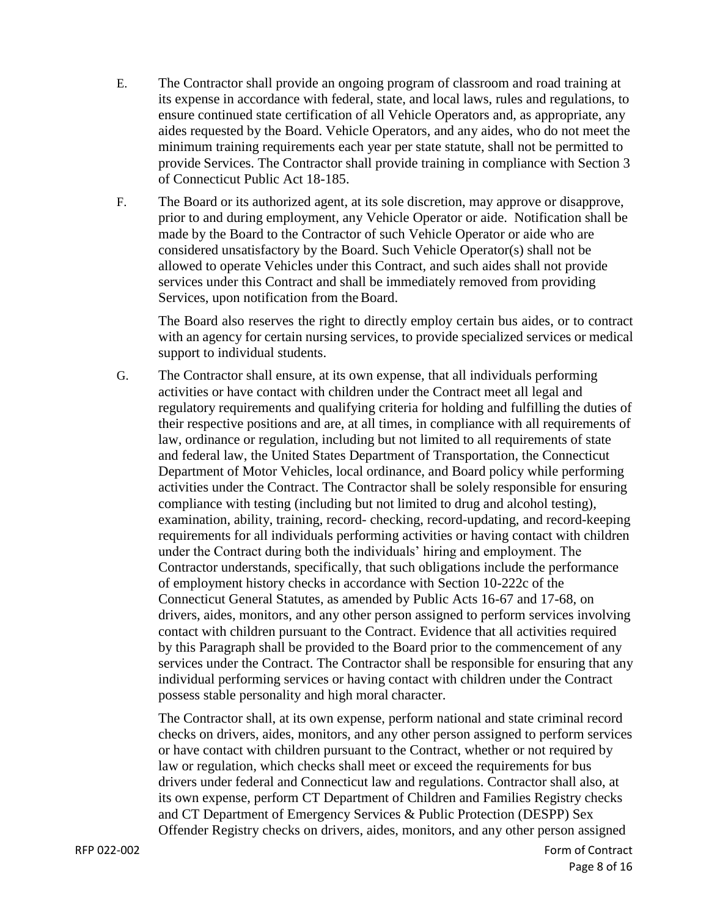- E. The Contractor shall provide an ongoing program of classroom and road training at its expense in accordance with federal, state, and local laws, rules and regulations, to ensure continued state certification of all Vehicle Operators and, as appropriate, any aides requested by the Board. Vehicle Operators, and any aides, who do not meet the minimum training requirements each year per state statute, shall not be permitted to provide Services. The Contractor shall provide training in compliance with Section 3 of Connecticut Public Act 18-185.
- F. The Board or its authorized agent, at its sole discretion, may approve or disapprove, prior to and during employment, any Vehicle Operator or aide. Notification shall be made by the Board to the Contractor of such Vehicle Operator or aide who are considered unsatisfactory by the Board. Such Vehicle Operator(s) shall not be allowed to operate Vehicles under this Contract, and such aides shall not provide services under this Contract and shall be immediately removed from providing Services, upon notification from the Board.

The Board also reserves the right to directly employ certain bus aides, or to contract with an agency for certain nursing services, to provide specialized services or medical support to individual students.

G. The Contractor shall ensure, at its own expense, that all individuals performing activities or have contact with children under the Contract meet all legal and regulatory requirements and qualifying criteria for holding and fulfilling the duties of their respective positions and are, at all times, in compliance with all requirements of law, ordinance or regulation, including but not limited to all requirements of state and federal law, the United States Department of Transportation, the Connecticut Department of Motor Vehicles, local ordinance, and Board policy while performing activities under the Contract. The Contractor shall be solely responsible for ensuring compliance with testing (including but not limited to drug and alcohol testing), examination, ability, training, record- checking, record-updating, and record-keeping requirements for all individuals performing activities or having contact with children under the Contract during both the individuals' hiring and employment. The Contractor understands, specifically, that such obligations include the performance of employment history checks in accordance with Section 10-222c of the Connecticut General Statutes, as amended by Public Acts 16-67 and 17-68, on drivers, aides, monitors, and any other person assigned to perform services involving contact with children pursuant to the Contract. Evidence that all activities required by this Paragraph shall be provided to the Board prior to the commencement of any services under the Contract. The Contractor shall be responsible for ensuring that any individual performing services or having contact with children under the Contract possess stable personality and high moral character.

The Contractor shall, at its own expense, perform national and state criminal record checks on drivers, aides, monitors, and any other person assigned to perform services or have contact with children pursuant to the Contract, whether or not required by law or regulation, which checks shall meet or exceed the requirements for bus drivers under federal and Connecticut law and regulations. Contractor shall also, at its own expense, perform CT Department of Children and Families Registry checks and CT Department of Emergency Services & Public Protection (DESPP) Sex Offender Registry checks on drivers, aides, monitors, and any other person assigned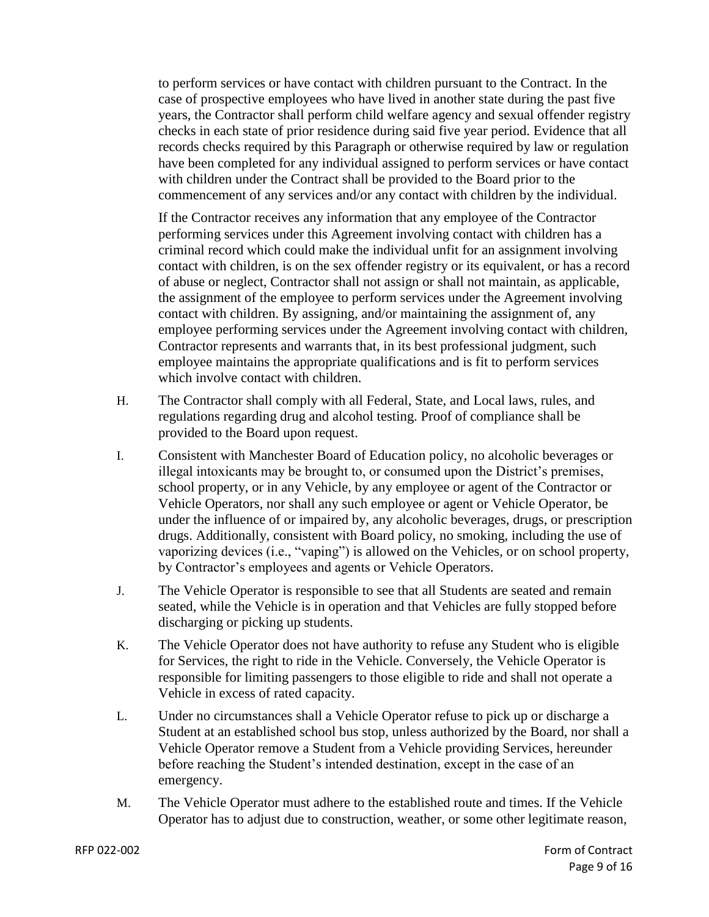to perform services or have contact with children pursuant to the Contract. In the case of prospective employees who have lived in another state during the past five years, the Contractor shall perform child welfare agency and sexual offender registry checks in each state of prior residence during said five year period. Evidence that all records checks required by this Paragraph or otherwise required by law or regulation have been completed for any individual assigned to perform services or have contact with children under the Contract shall be provided to the Board prior to the commencement of any services and/or any contact with children by the individual.

If the Contractor receives any information that any employee of the Contractor performing services under this Agreement involving contact with children has a criminal record which could make the individual unfit for an assignment involving contact with children, is on the sex offender registry or its equivalent, or has a record of abuse or neglect, Contractor shall not assign or shall not maintain, as applicable, the assignment of the employee to perform services under the Agreement involving contact with children. By assigning, and/or maintaining the assignment of, any employee performing services under the Agreement involving contact with children, Contractor represents and warrants that, in its best professional judgment, such employee maintains the appropriate qualifications and is fit to perform services which involve contact with children.

- H. The Contractor shall comply with all Federal, State, and Local laws, rules, and regulations regarding drug and alcohol testing. Proof of compliance shall be provided to the Board upon request.
- I. Consistent with Manchester Board of Education policy, no alcoholic beverages or illegal intoxicants may be brought to, or consumed upon the District's premises, school property, or in any Vehicle, by any employee or agent of the Contractor or Vehicle Operators, nor shall any such employee or agent or Vehicle Operator, be under the influence of or impaired by, any alcoholic beverages, drugs, or prescription drugs. Additionally, consistent with Board policy, no smoking, including the use of vaporizing devices (i.e., "vaping") is allowed on the Vehicles, or on school property, by Contractor's employees and agents or Vehicle Operators.
- J. The Vehicle Operator is responsible to see that all Students are seated and remain seated, while the Vehicle is in operation and that Vehicles are fully stopped before discharging or picking up students.
- K. The Vehicle Operator does not have authority to refuse any Student who is eligible for Services, the right to ride in the Vehicle. Conversely, the Vehicle Operator is responsible for limiting passengers to those eligible to ride and shall not operate a Vehicle in excess of rated capacity.
- L. Under no circumstances shall a Vehicle Operator refuse to pick up or discharge a Student at an established school bus stop, unless authorized by the Board, nor shall a Vehicle Operator remove a Student from a Vehicle providing Services, hereunder before reaching the Student's intended destination, except in the case of an emergency.
- M. The Vehicle Operator must adhere to the established route and times. If the Vehicle Operator has to adjust due to construction, weather, or some other legitimate reason,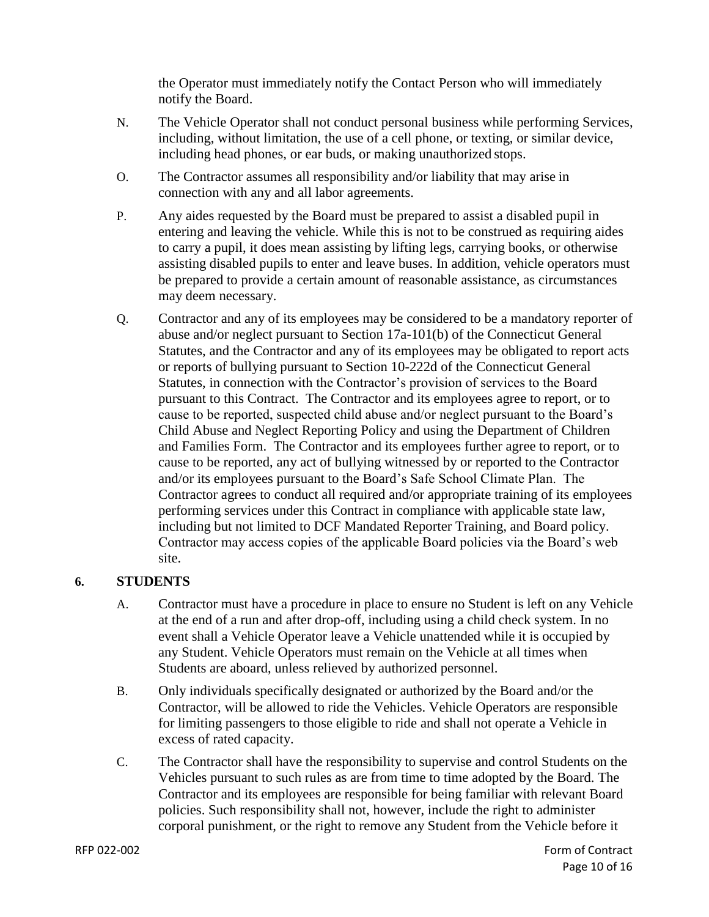the Operator must immediately notify the Contact Person who will immediately notify the Board.

- N. The Vehicle Operator shall not conduct personal business while performing Services, including, without limitation, the use of a cell phone, or texting, or similar device, including head phones, or ear buds, or making unauthorized stops.
- O. The Contractor assumes all responsibility and/or liability that may arise in connection with any and all labor agreements.
- P. Any aides requested by the Board must be prepared to assist a disabled pupil in entering and leaving the vehicle. While this is not to be construed as requiring aides to carry a pupil, it does mean assisting by lifting legs, carrying books, or otherwise assisting disabled pupils to enter and leave buses. In addition, vehicle operators must be prepared to provide a certain amount of reasonable assistance, as circumstances may deem necessary.
- Q. Contractor and any of its employees may be considered to be a mandatory reporter of abuse and/or neglect pursuant to Section 17a-101(b) of the Connecticut General Statutes, and the Contractor and any of its employees may be obligated to report acts or reports of bullying pursuant to Section 10-222d of the Connecticut General Statutes, in connection with the Contractor's provision of services to the Board pursuant to this Contract. The Contractor and its employees agree to report, or to cause to be reported, suspected child abuse and/or neglect pursuant to the Board's Child Abuse and Neglect Reporting Policy and using the Department of Children and Families Form. The Contractor and its employees further agree to report, or to cause to be reported, any act of bullying witnessed by or reported to the Contractor and/or its employees pursuant to the Board's Safe School Climate Plan. The Contractor agrees to conduct all required and/or appropriate training of its employees performing services under this Contract in compliance with applicable state law, including but not limited to DCF Mandated Reporter Training, and Board policy. Contractor may access copies of the applicable Board policies via the Board's web site.

## **6. STUDENTS**

- A. Contractor must have a procedure in place to ensure no Student is left on any Vehicle at the end of a run and after drop-off, including using a child check system. In no event shall a Vehicle Operator leave a Vehicle unattended while it is occupied by any Student. Vehicle Operators must remain on the Vehicle at all times when Students are aboard, unless relieved by authorized personnel.
- B. Only individuals specifically designated or authorized by the Board and/or the Contractor, will be allowed to ride the Vehicles. Vehicle Operators are responsible for limiting passengers to those eligible to ride and shall not operate a Vehicle in excess of rated capacity.
- C. The Contractor shall have the responsibility to supervise and control Students on the Vehicles pursuant to such rules as are from time to time adopted by the Board. The Contractor and its employees are responsible for being familiar with relevant Board policies. Such responsibility shall not, however, include the right to administer corporal punishment, or the right to remove any Student from the Vehicle before it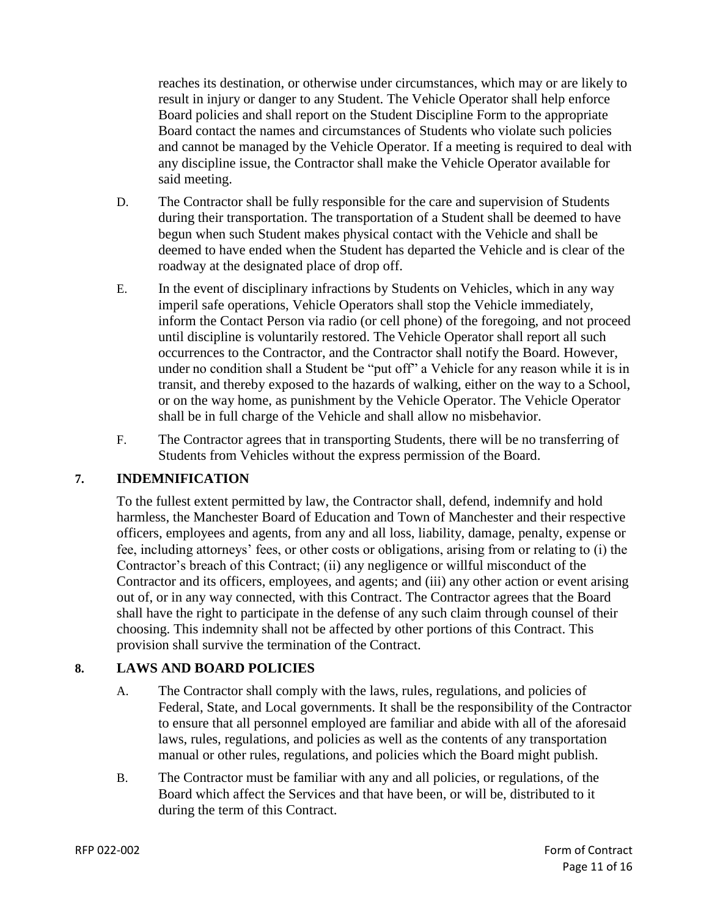reaches its destination, or otherwise under circumstances, which may or are likely to result in injury or danger to any Student. The Vehicle Operator shall help enforce Board policies and shall report on the Student Discipline Form to the appropriate Board contact the names and circumstances of Students who violate such policies and cannot be managed by the Vehicle Operator. If a meeting is required to deal with any discipline issue, the Contractor shall make the Vehicle Operator available for said meeting.

- D. The Contractor shall be fully responsible for the care and supervision of Students during their transportation. The transportation of a Student shall be deemed to have begun when such Student makes physical contact with the Vehicle and shall be deemed to have ended when the Student has departed the Vehicle and is clear of the roadway at the designated place of drop off.
- E. In the event of disciplinary infractions by Students on Vehicles, which in any way imperil safe operations, Vehicle Operators shall stop the Vehicle immediately, inform the Contact Person via radio (or cell phone) of the foregoing, and not proceed until discipline is voluntarily restored. The Vehicle Operator shall report all such occurrences to the Contractor, and the Contractor shall notify the Board. However, under no condition shall a Student be "put off" a Vehicle for any reason while it is in transit, and thereby exposed to the hazards of walking, either on the way to a School, or on the way home, as punishment by the Vehicle Operator. The Vehicle Operator shall be in full charge of the Vehicle and shall allow no misbehavior.
- F. The Contractor agrees that in transporting Students, there will be no transferring of Students from Vehicles without the express permission of the Board.

## **7. INDEMNIFICATION**

To the fullest extent permitted by law, the Contractor shall, defend, indemnify and hold harmless, the Manchester Board of Education and Town of Manchester and their respective officers, employees and agents, from any and all loss, liability, damage, penalty, expense or fee, including attorneys' fees, or other costs or obligations, arising from or relating to (i) the Contractor's breach of this Contract; (ii) any negligence or willful misconduct of the Contractor and its officers, employees, and agents; and (iii) any other action or event arising out of, or in any way connected, with this Contract. The Contractor agrees that the Board shall have the right to participate in the defense of any such claim through counsel of their choosing. This indemnity shall not be affected by other portions of this Contract. This provision shall survive the termination of the Contract.

# **8. LAWS AND BOARD POLICIES**

- A. The Contractor shall comply with the laws, rules, regulations, and policies of Federal, State, and Local governments. It shall be the responsibility of the Contractor to ensure that all personnel employed are familiar and abide with all of the aforesaid laws, rules, regulations, and policies as well as the contents of any transportation manual or other rules, regulations, and policies which the Board might publish.
- B. The Contractor must be familiar with any and all policies, or regulations, of the Board which affect the Services and that have been, or will be, distributed to it during the term of this Contract.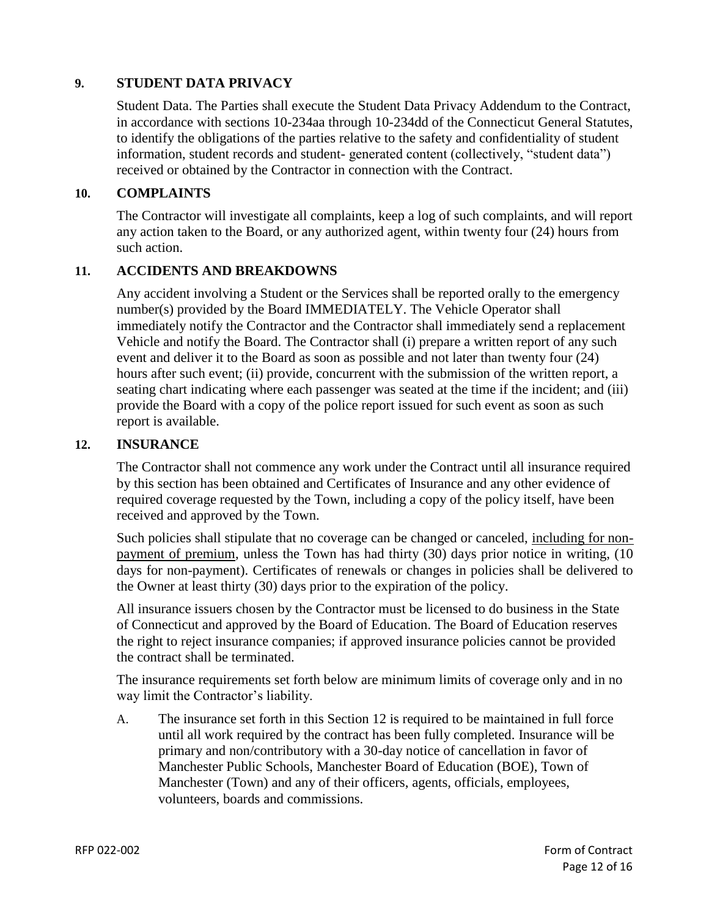## **9. STUDENT DATA PRIVACY**

Student Data. The Parties shall execute the Student Data Privacy Addendum to the Contract, in accordance with sections 10-234aa through 10-234dd of the Connecticut General Statutes, to identify the obligations of the parties relative to the safety and confidentiality of student information, student records and student- generated content (collectively, "student data") received or obtained by the Contractor in connection with the Contract.

### **10. COMPLAINTS**

The Contractor will investigate all complaints, keep a log of such complaints, and will report any action taken to the Board, or any authorized agent, within twenty four (24) hours from such action.

#### **11. ACCIDENTS AND BREAKDOWNS**

Any accident involving a Student or the Services shall be reported orally to the emergency number(s) provided by the Board IMMEDIATELY. The Vehicle Operator shall immediately notify the Contractor and the Contractor shall immediately send a replacement Vehicle and notify the Board. The Contractor shall (i) prepare a written report of any such event and deliver it to the Board as soon as possible and not later than twenty four (24) hours after such event; (ii) provide, concurrent with the submission of the written report, a seating chart indicating where each passenger was seated at the time if the incident; and (iii) provide the Board with a copy of the police report issued for such event as soon as such report is available.

#### **12. INSURANCE**

The Contractor shall not commence any work under the Contract until all insurance required by this section has been obtained and Certificates of Insurance and any other evidence of required coverage requested by the Town, including a copy of the policy itself, have been received and approved by the Town.

Such policies shall stipulate that no coverage can be changed or canceled, including for nonpayment of premium, unless the Town has had thirty (30) days prior notice in writing, (10 days for non-payment). Certificates of renewals or changes in policies shall be delivered to the Owner at least thirty (30) days prior to the expiration of the policy.

All insurance issuers chosen by the Contractor must be licensed to do business in the State of Connecticut and approved by the Board of Education. The Board of Education reserves the right to reject insurance companies; if approved insurance policies cannot be provided the contract shall be terminated.

The insurance requirements set forth below are minimum limits of coverage only and in no way limit the Contractor's liability.

A. The insurance set forth in this Section 12 is required to be maintained in full force until all work required by the contract has been fully completed. Insurance will be primary and non/contributory with a 30-day notice of cancellation in favor of Manchester Public Schools, Manchester Board of Education (BOE), Town of Manchester (Town) and any of their officers, agents, officials, employees, volunteers, boards and commissions.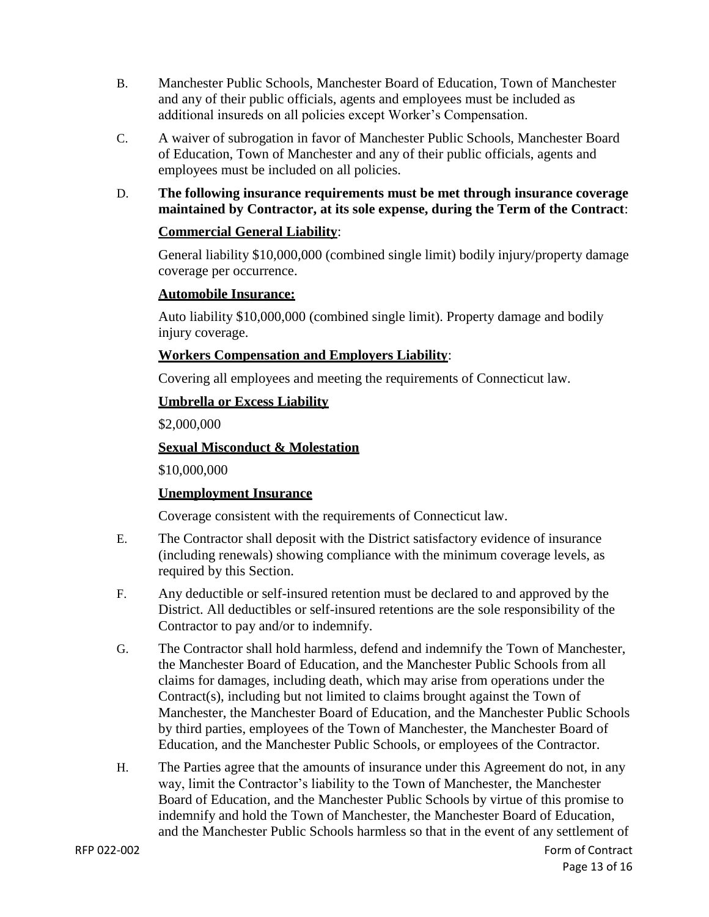- B. Manchester Public Schools, Manchester Board of Education, Town of Manchester and any of their public officials, agents and employees must be included as additional insureds on all policies except Worker's Compensation.
- C. A waiver of subrogation in favor of Manchester Public Schools, Manchester Board of Education, Town of Manchester and any of their public officials, agents and employees must be included on all policies.
- D. **The following insurance requirements must be met through insurance coverage maintained by Contractor, at its sole expense, during the Term of the Contract**:

## **Commercial General Liability**:

General liability \$10,000,000 (combined single limit) bodily injury/property damage coverage per occurrence.

## **Automobile Insurance:**

Auto liability \$10,000,000 (combined single limit). Property damage and bodily injury coverage.

## **Workers Compensation and Employers Liability**:

Covering all employees and meeting the requirements of Connecticut law.

## **Umbrella or Excess Liability**

\$2,000,000

## **Sexual Misconduct & Molestation**

\$10,000,000

## **Unemployment Insurance**

Coverage consistent with the requirements of Connecticut law.

- E. The Contractor shall deposit with the District satisfactory evidence of insurance (including renewals) showing compliance with the minimum coverage levels, as required by this Section.
- F. Any deductible or self-insured retention must be declared to and approved by the District. All deductibles or self-insured retentions are the sole responsibility of the Contractor to pay and/or to indemnify.
- G. The Contractor shall hold harmless, defend and indemnify the Town of Manchester, the Manchester Board of Education, and the Manchester Public Schools from all claims for damages, including death, which may arise from operations under the Contract(s), including but not limited to claims brought against the Town of Manchester, the Manchester Board of Education, and the Manchester Public Schools by third parties, employees of the Town of Manchester, the Manchester Board of Education, and the Manchester Public Schools, or employees of the Contractor.
- H. The Parties agree that the amounts of insurance under this Agreement do not, in any way, limit the Contractor's liability to the Town of Manchester, the Manchester Board of Education, and the Manchester Public Schools by virtue of this promise to indemnify and hold the Town of Manchester, the Manchester Board of Education, and the Manchester Public Schools harmless so that in the event of any settlement of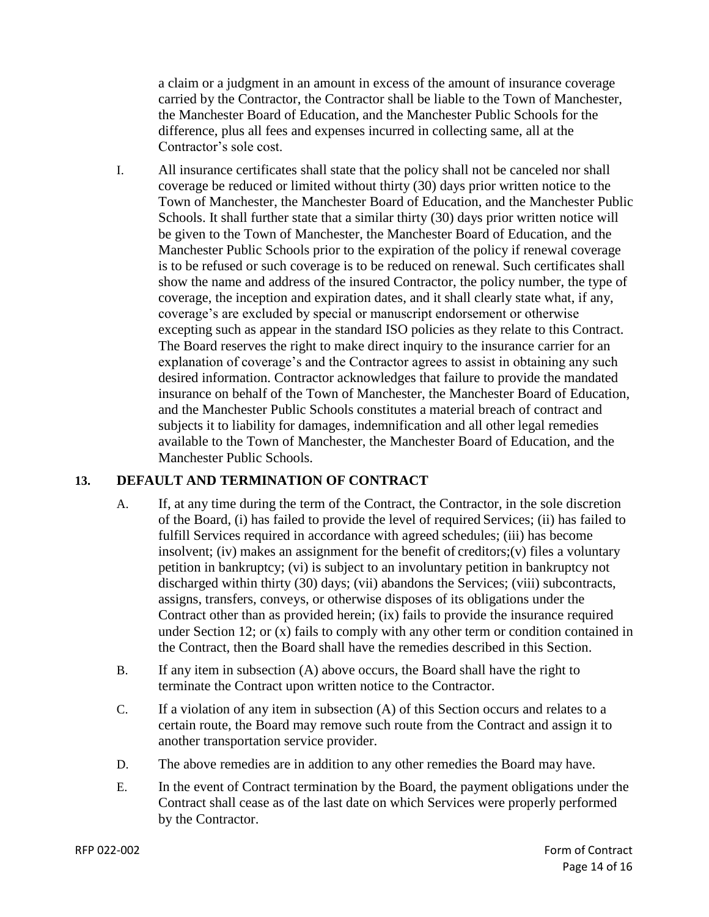a claim or a judgment in an amount in excess of the amount of insurance coverage carried by the Contractor, the Contractor shall be liable to the Town of Manchester, the Manchester Board of Education, and the Manchester Public Schools for the difference, plus all fees and expenses incurred in collecting same, all at the Contractor's sole cost.

I. All insurance certificates shall state that the policy shall not be canceled nor shall coverage be reduced or limited without thirty (30) days prior written notice to the Town of Manchester, the Manchester Board of Education, and the Manchester Public Schools. It shall further state that a similar thirty (30) days prior written notice will be given to the Town of Manchester, the Manchester Board of Education, and the Manchester Public Schools prior to the expiration of the policy if renewal coverage is to be refused or such coverage is to be reduced on renewal. Such certificates shall show the name and address of the insured Contractor, the policy number, the type of coverage, the inception and expiration dates, and it shall clearly state what, if any, coverage's are excluded by special or manuscript endorsement or otherwise excepting such as appear in the standard ISO policies as they relate to this Contract. The Board reserves the right to make direct inquiry to the insurance carrier for an explanation of coverage's and the Contractor agrees to assist in obtaining any such desired information. Contractor acknowledges that failure to provide the mandated insurance on behalf of the Town of Manchester, the Manchester Board of Education, and the Manchester Public Schools constitutes a material breach of contract and subjects it to liability for damages, indemnification and all other legal remedies available to the Town of Manchester, the Manchester Board of Education, and the Manchester Public Schools.

# **13. DEFAULT AND TERMINATION OF CONTRACT**

- A. If, at any time during the term of the Contract, the Contractor, in the sole discretion of the Board, (i) has failed to provide the level of required Services; (ii) has failed to fulfill Services required in accordance with agreed schedules; (iii) has become insolvent; (iv) makes an assignment for the benefit of creditors;(v) files a voluntary petition in bankruptcy; (vi) is subject to an involuntary petition in bankruptcy not discharged within thirty (30) days; (vii) abandons the Services; (viii) subcontracts, assigns, transfers, conveys, or otherwise disposes of its obligations under the Contract other than as provided herein; (ix) fails to provide the insurance required under Section 12; or (x) fails to comply with any other term or condition contained in the Contract, then the Board shall have the remedies described in this Section.
- B. If any item in subsection (A) above occurs, the Board shall have the right to terminate the Contract upon written notice to the Contractor.
- C. If a violation of any item in subsection (A) of this Section occurs and relates to a certain route, the Board may remove such route from the Contract and assign it to another transportation service provider.
- D. The above remedies are in addition to any other remedies the Board may have.
- E. In the event of Contract termination by the Board, the payment obligations under the Contract shall cease as of the last date on which Services were properly performed by the Contractor.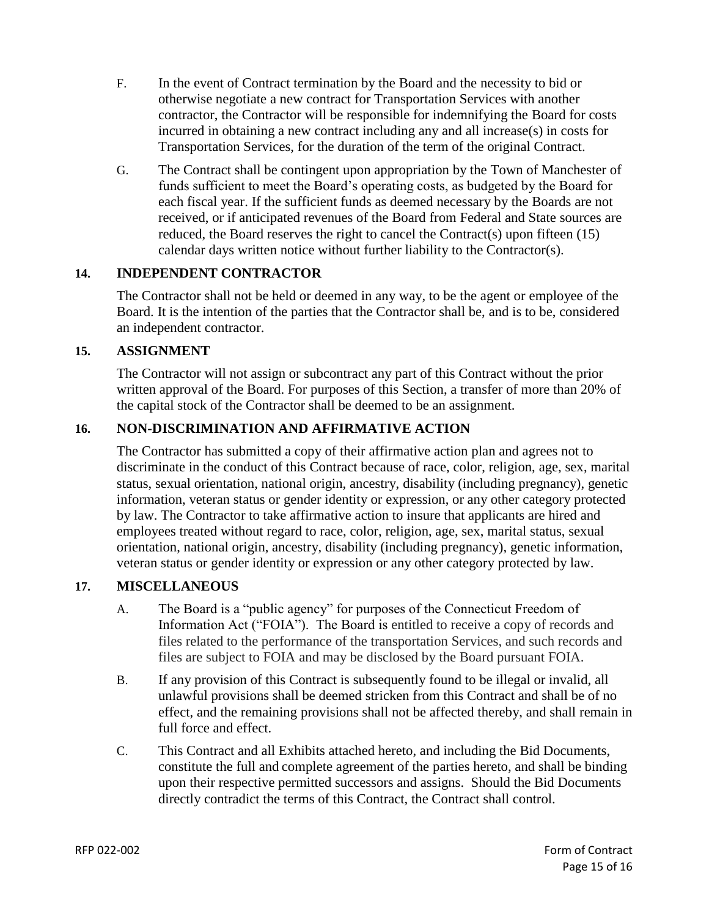- F. In the event of Contract termination by the Board and the necessity to bid or otherwise negotiate a new contract for Transportation Services with another contractor, the Contractor will be responsible for indemnifying the Board for costs incurred in obtaining a new contract including any and all increase(s) in costs for Transportation Services, for the duration of the term of the original Contract.
- G. The Contract shall be contingent upon appropriation by the Town of Manchester of funds sufficient to meet the Board's operating costs, as budgeted by the Board for each fiscal year. If the sufficient funds as deemed necessary by the Boards are not received, or if anticipated revenues of the Board from Federal and State sources are reduced, the Board reserves the right to cancel the Contract(s) upon fifteen (15) calendar days written notice without further liability to the Contractor(s).

## **14. INDEPENDENT CONTRACTOR**

The Contractor shall not be held or deemed in any way, to be the agent or employee of the Board. It is the intention of the parties that the Contractor shall be, and is to be, considered an independent contractor.

#### **15. ASSIGNMENT**

The Contractor will not assign or subcontract any part of this Contract without the prior written approval of the Board. For purposes of this Section, a transfer of more than 20% of the capital stock of the Contractor shall be deemed to be an assignment.

## **16. NON-DISCRIMINATION AND AFFIRMATIVE ACTION**

The Contractor has submitted a copy of their affirmative action plan and agrees not to discriminate in the conduct of this Contract because of race, color, religion, age, sex, marital status, sexual orientation, national origin, ancestry, disability (including pregnancy), genetic information, veteran status or gender identity or expression, or any other category protected by law. The Contractor to take affirmative action to insure that applicants are hired and employees treated without regard to race, color, religion, age, sex, marital status, sexual orientation, national origin, ancestry, disability (including pregnancy), genetic information, veteran status or gender identity or expression or any other category protected by law.

#### **17. MISCELLANEOUS**

- A. The Board is a "public agency" for purposes of the Connecticut Freedom of Information Act ("FOIA"). The Board is entitled to receive a copy of records and files related to the performance of the transportation Services, and such records and files are subject to FOIA and may be disclosed by the Board pursuant FOIA.
- B. If any provision of this Contract is subsequently found to be illegal or invalid, all unlawful provisions shall be deemed stricken from this Contract and shall be of no effect, and the remaining provisions shall not be affected thereby, and shall remain in full force and effect.
- C. This Contract and all Exhibits attached hereto, and including the Bid Documents, constitute the full and complete agreement of the parties hereto, and shall be binding upon their respective permitted successors and assigns. Should the Bid Documents directly contradict the terms of this Contract, the Contract shall control.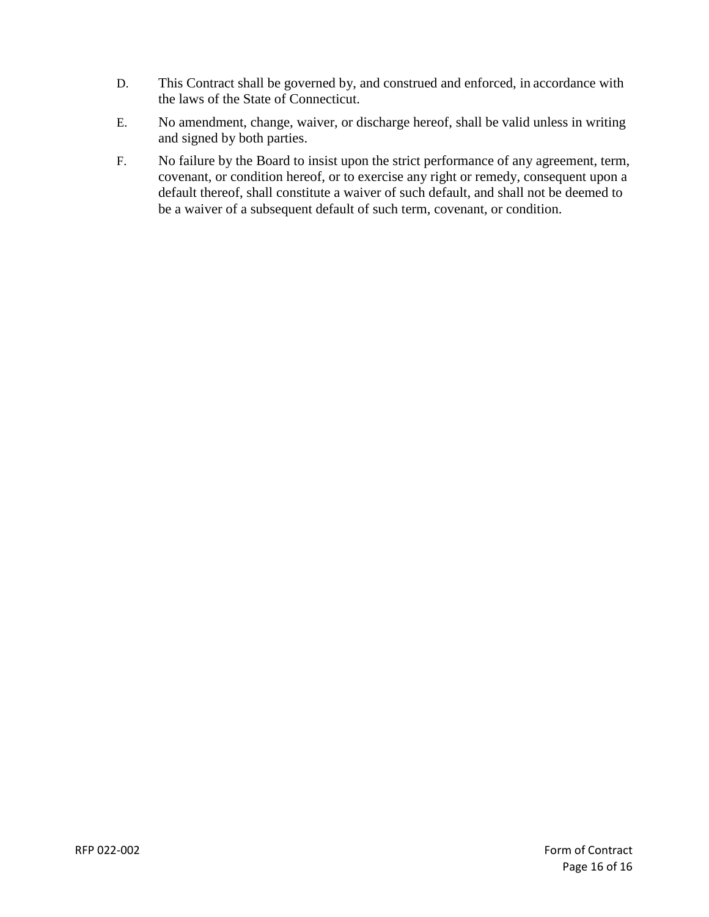- D. This Contract shall be governed by, and construed and enforced, in accordance with the laws of the State of Connecticut.
- E. No amendment, change, waiver, or discharge hereof, shall be valid unless in writing and signed by both parties.
- F. No failure by the Board to insist upon the strict performance of any agreement, term, covenant, or condition hereof, or to exercise any right or remedy, consequent upon a default thereof, shall constitute a waiver of such default, and shall not be deemed to be a waiver of a subsequent default of such term, covenant, or condition.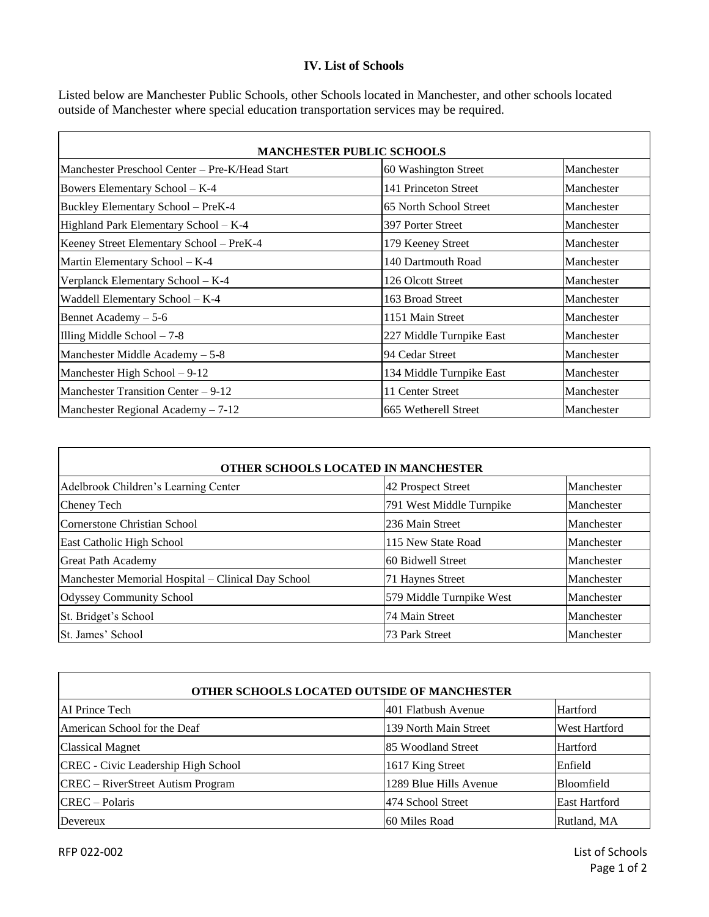#### **IV. List of Schools**

Listed below are Manchester Public Schools, other Schools located in Manchester, and other schools located outside of Manchester where special education transportation services may be required.

| <b>MANCHESTER PUBLIC SCHOOLS</b>               |                          |            |
|------------------------------------------------|--------------------------|------------|
| Manchester Preschool Center – Pre-K/Head Start | 60 Washington Street     | Manchester |
| Bowers Elementary School – K-4                 | 141 Princeton Street     | Manchester |
| Buckley Elementary School - PreK-4             | 65 North School Street   | Manchester |
| Highland Park Elementary School - K-4          | 397 Porter Street        | Manchester |
| Keeney Street Elementary School - PreK-4       | 179 Keeney Street        | Manchester |
| Martin Elementary School - K-4                 | 140 Dartmouth Road       | Manchester |
| Verplanck Elementary School - K-4              | 126 Olcott Street        | Manchester |
| Waddell Elementary School - K-4                | 163 Broad Street         | Manchester |
| Bennet Academy $-5-6$                          | 1151 Main Street         | Manchester |
| Illing Middle School $-7-8$                    | 227 Middle Turnpike East | Manchester |
| Manchester Middle Academy $-5-8$               | 94 Cedar Street          | Manchester |
| Manchester High School $-9-12$                 | 134 Middle Turnpike East | Manchester |
| Manchester Transition Center – 9-12            | 11 Center Street         | Manchester |
| Manchester Regional Academy $-7-12$            | 665 Wetherell Street     | Manchester |

|                                                    | OTHER SCHOOLS LOCATED IN MANCHESTER |            |
|----------------------------------------------------|-------------------------------------|------------|
| Adelbrook Children's Learning Center               | 42 Prospect Street                  | Manchester |
| Cheney Tech                                        | 791 West Middle Turnpike            | Manchester |
| Cornerstone Christian School                       | 236 Main Street                     | Manchester |
| East Catholic High School                          | 115 New State Road                  | Manchester |
| <b>Great Path Academy</b>                          | 60 Bidwell Street                   | Manchester |
| Manchester Memorial Hospital - Clinical Day School | 71 Haynes Street                    | Manchester |
| <b>Odyssey Community School</b>                    | 579 Middle Turnpike West            | Manchester |
| St. Bridget's School                               | 74 Main Street                      | Manchester |
| lSt. James' School                                 | 73 Park Street                      | Manchester |

| <b>OTHER SCHOOLS LOCATED OUTSIDE OF MANCHESTER</b> |                        |               |
|----------------------------------------------------|------------------------|---------------|
| AI Prince Tech                                     | 401 Flatbush Avenue    | Hartford      |
| American School for the Deaf                       | 139 North Main Street  | West Hartford |
| <b>Classical Magnet</b>                            | 85 Woodland Street     | Hartford      |
| CREC - Civic Leadership High School                | 1617 King Street       | Enfield       |
| CREC – RiverStreet Autism Program                  | 1289 Blue Hills Avenue | Bloomfield    |
| $CREC - Polaris$                                   | 1474 School Street     | East Hartford |
| Devereux                                           | 60 Miles Road          | Rutland, MA   |

RFP 022-002 List of Schools

 $\mathbf{r}$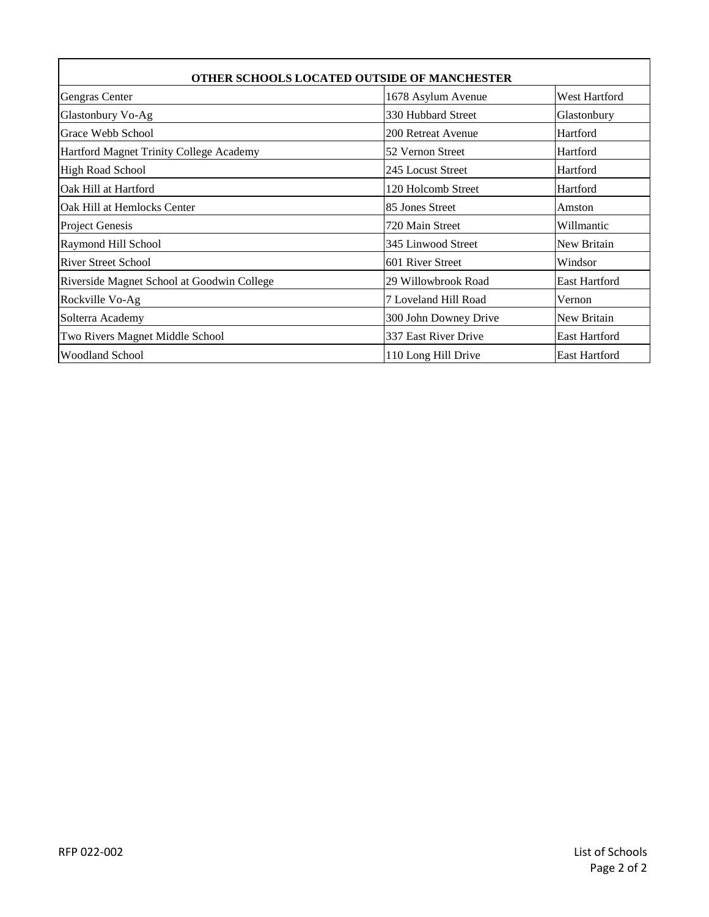| OTHER SCHOOLS LOCATED OUTSIDE OF MANCHESTER |                       |                      |
|---------------------------------------------|-----------------------|----------------------|
| Gengras Center                              | 1678 Asylum Avenue    | West Hartford        |
| Glastonbury Vo-Ag                           | 330 Hubbard Street    | Glastonbury          |
| Grace Webb School                           | 200 Retreat Avenue    | Hartford             |
| Hartford Magnet Trinity College Academy     | 52 Vernon Street      | Hartford             |
| <b>High Road School</b>                     | 245 Locust Street     | Hartford             |
| Oak Hill at Hartford                        | 120 Holcomb Street    | Hartford             |
| Oak Hill at Hemlocks Center                 | 85 Jones Street       | Amston               |
| <b>Project Genesis</b>                      | 720 Main Street       | Willmantic           |
| Raymond Hill School                         | 345 Linwood Street    | New Britain          |
| <b>River Street School</b>                  | 601 River Street      | Windsor              |
| Riverside Magnet School at Goodwin College  | 29 Willowbrook Road   | <b>East Hartford</b> |
| Rockville Vo-Ag                             | 7 Loveland Hill Road  | Vernon               |
| Solterra Academy                            | 300 John Downey Drive | New Britain          |
| Two Rivers Magnet Middle School             | 337 East River Drive  | <b>East Hartford</b> |
| <b>Woodland School</b>                      | 110 Long Hill Drive   | <b>East Hartford</b> |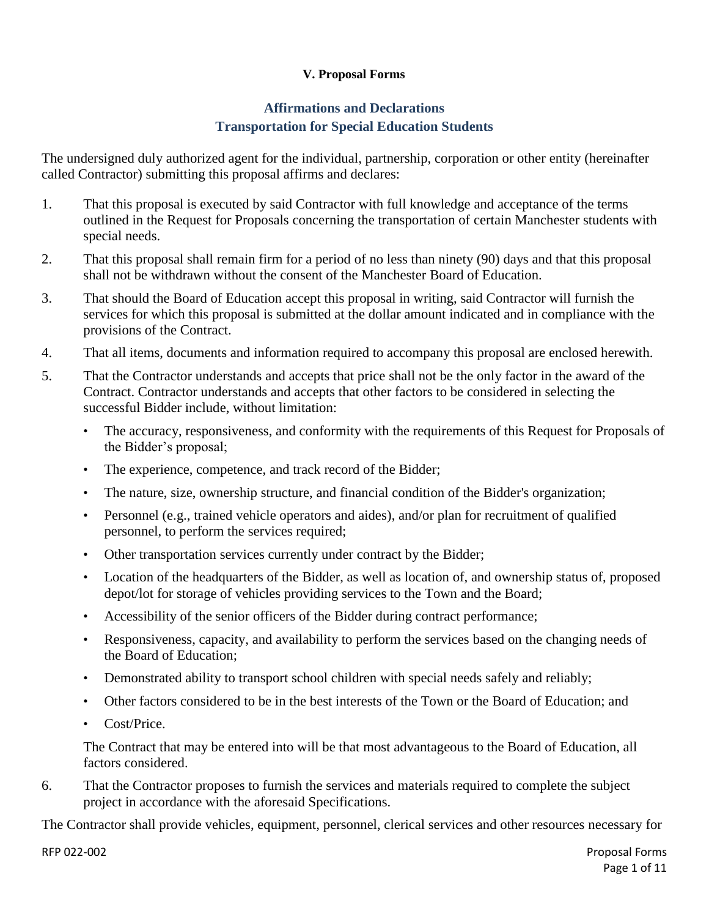## **V. Proposal Forms**

# **Affirmations and Declarations Transportation for Special Education Students**

The undersigned duly authorized agent for the individual, partnership, corporation or other entity (hereinafter called Contractor) submitting this proposal affirms and declares:

- 1. That this proposal is executed by said Contractor with full knowledge and acceptance of the terms outlined in the Request for Proposals concerning the transportation of certain Manchester students with special needs.
- 2. That this proposal shall remain firm for a period of no less than ninety (90) days and that this proposal shall not be withdrawn without the consent of the Manchester Board of Education.
- 3. That should the Board of Education accept this proposal in writing, said Contractor will furnish the services for which this proposal is submitted at the dollar amount indicated and in compliance with the provisions of the Contract.
- 4. That all items, documents and information required to accompany this proposal are enclosed herewith.
- 5. That the Contractor understands and accepts that price shall not be the only factor in the award of the Contract. Contractor understands and accepts that other factors to be considered in selecting the successful Bidder include, without limitation:
	- The accuracy, responsiveness, and conformity with the requirements of this Request for Proposals of the Bidder's proposal;
	- The experience, competence, and track record of the Bidder;
	- The nature, size, ownership structure, and financial condition of the Bidder's organization;
	- Personnel (e.g., trained vehicle operators and aides), and/or plan for recruitment of qualified personnel, to perform the services required;
	- Other transportation services currently under contract by the Bidder;
	- Location of the headquarters of the Bidder, as well as location of, and ownership status of, proposed depot/lot for storage of vehicles providing services to the Town and the Board;
	- Accessibility of the senior officers of the Bidder during contract performance;
	- Responsiveness, capacity, and availability to perform the services based on the changing needs of the Board of Education;
	- Demonstrated ability to transport school children with special needs safely and reliably;
	- Other factors considered to be in the best interests of the Town or the Board of Education; and
	- Cost/Price.

The Contract that may be entered into will be that most advantageous to the Board of Education, all factors considered.

6. That the Contractor proposes to furnish the services and materials required to complete the subject project in accordance with the aforesaid Specifications.

The Contractor shall provide vehicles, equipment, personnel, clerical services and other resources necessary for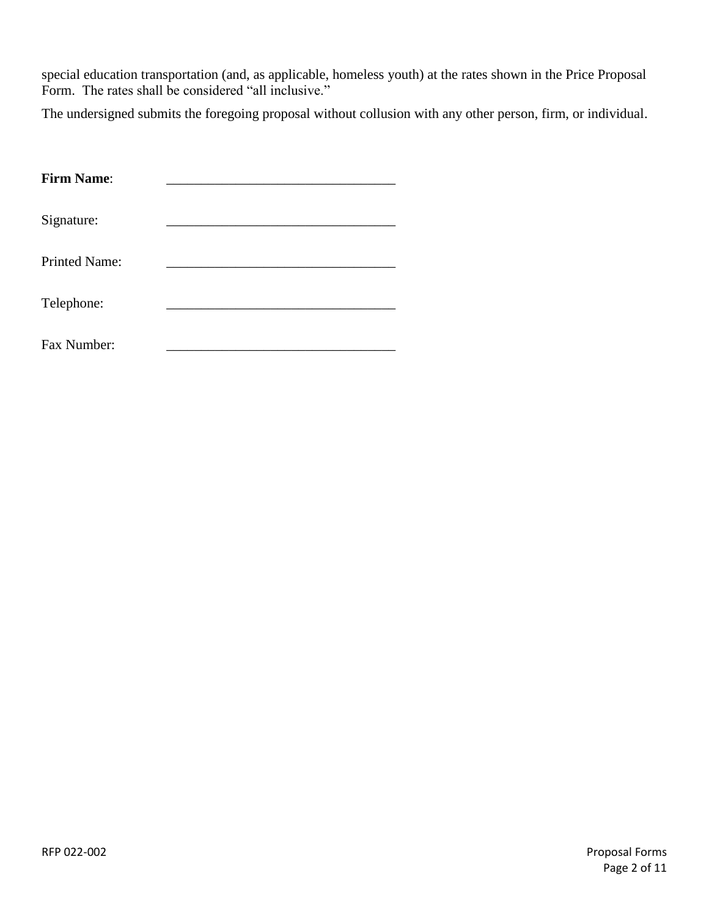special education transportation (and, as applicable, homeless youth) at the rates shown in the Price Proposal Form. The rates shall be considered "all inclusive."

The undersigned submits the foregoing proposal without collusion with any other person, firm, or individual.

| <b>Firm Name:</b>    |  |
|----------------------|--|
| Signature:           |  |
| <b>Printed Name:</b> |  |
| Telephone:           |  |
| Fax Number:          |  |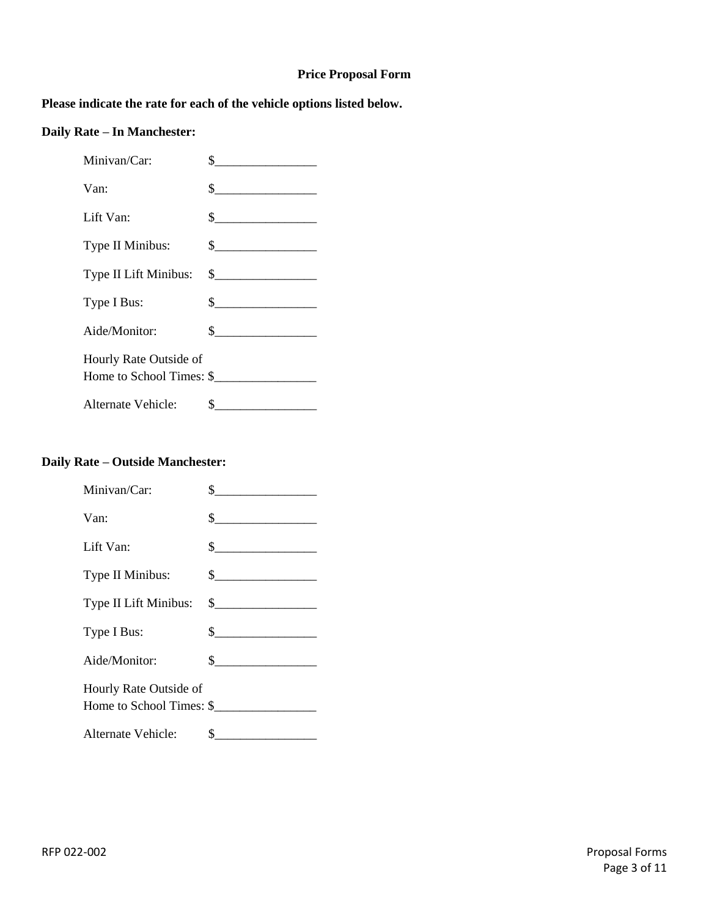#### **Price Proposal Form**

## **Please indicate the rate for each of the vehicle options listed below.**

# **Daily Rate – In Manchester:**

| Minivan/Car:                                       | \$<br><u> 1989 - Andrea Stationer, Amerikaansk kon</u>                                                                                                                                                                                                                                                                                        |
|----------------------------------------------------|-----------------------------------------------------------------------------------------------------------------------------------------------------------------------------------------------------------------------------------------------------------------------------------------------------------------------------------------------|
| Van:                                               | $\begin{array}{c c} \n\multicolumn{3}{c }{\textbf{\textcolor{red}{\bf S}}}\n\end{array}$                                                                                                                                                                                                                                                      |
| Lift Van:                                          | s                                                                                                                                                                                                                                                                                                                                             |
| Type II Minibus:                                   | $\frac{1}{2}$                                                                                                                                                                                                                                                                                                                                 |
| Type II Lift Minibus:                              |                                                                                                                                                                                                                                                                                                                                               |
| Type I Bus:                                        | $\begin{picture}(20,10) \put(0,0){\line(1,0){100}} \put(15,0){\line(1,0){100}} \put(15,0){\line(1,0){100}} \put(15,0){\line(1,0){100}} \put(15,0){\line(1,0){100}} \put(15,0){\line(1,0){100}} \put(15,0){\line(1,0){100}} \put(15,0){\line(1,0){100}} \put(15,0){\line(1,0){100}} \put(15,0){\line(1,0){100}} \put(15,0){\line(1,0){100}} \$ |
| Aide/Monitor:                                      | $\frac{\text{S}}{\text{S}}$                                                                                                                                                                                                                                                                                                                   |
| Hourly Rate Outside of<br>Home to School Times: \$ |                                                                                                                                                                                                                                                                                                                                               |
| Alternate Vehicle:                                 | \$                                                                                                                                                                                                                                                                                                                                            |

### **Daily Rate – Outside Manchester:**

| Minivan/Car:                                       | \$.                                                                                      |
|----------------------------------------------------|------------------------------------------------------------------------------------------|
| Van:                                               | $\frac{1}{1}$                                                                            |
| Lift Van:                                          | $\frac{1}{2}$                                                                            |
| Type II Minibus:                                   | $\begin{array}{c c} \n\multicolumn{3}{c }{\textbf{\textcolor{red}{\bf S}}}\n\end{array}$ |
| Type II Lift Minibus:                              | $\frac{1}{2}$                                                                            |
| Type I Bus:                                        | $\frac{1}{2}$                                                                            |
| Aide/Monitor:                                      | $\frac{\text{S}}{\text{S}}$                                                              |
| Hourly Rate Outside of<br>Home to School Times: \$ |                                                                                          |
| Alternate Vehicle:                                 | \$                                                                                       |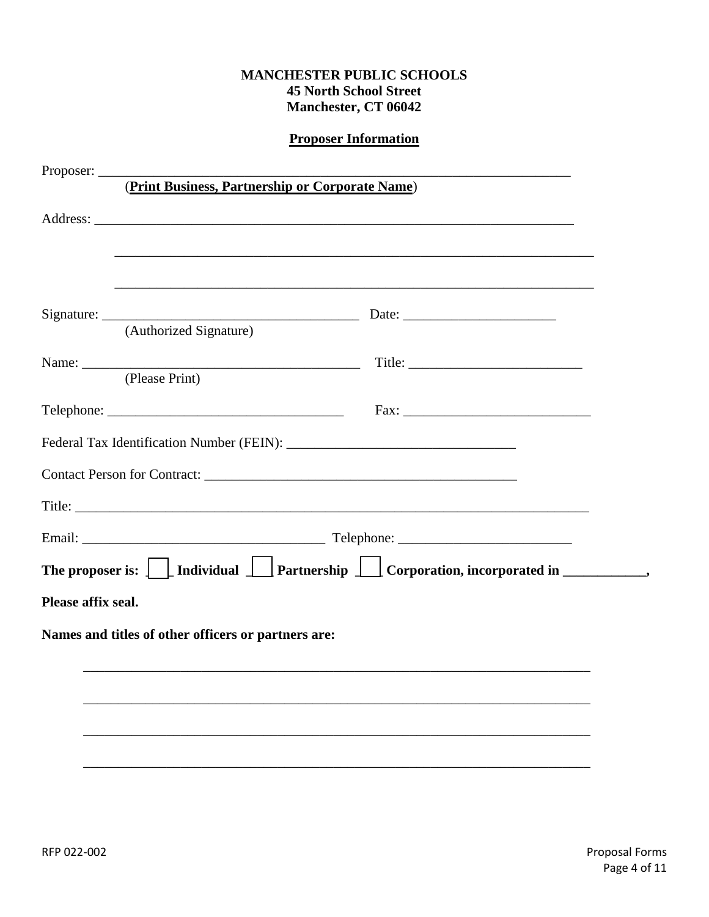|                                                     | <b>Proposer Information</b>                                                      |
|-----------------------------------------------------|----------------------------------------------------------------------------------|
|                                                     |                                                                                  |
|                                                     | (Print Business, Partnership or Corporate Name)                                  |
|                                                     |                                                                                  |
|                                                     |                                                                                  |
|                                                     |                                                                                  |
|                                                     | ,我们也不会有什么。""我们的人,我们也不会有什么?""我们的人,我们也不会有什么?""我们的人,我们也不会有什么?""我们的人,我们也不会有什么?""我们的人 |
| (Authorized Signature)                              |                                                                                  |
|                                                     |                                                                                  |
| (Please Print)                                      |                                                                                  |
|                                                     |                                                                                  |
|                                                     |                                                                                  |
|                                                     |                                                                                  |
|                                                     |                                                                                  |
|                                                     |                                                                                  |
|                                                     |                                                                                  |
|                                                     |                                                                                  |
| Please affix seal.                                  |                                                                                  |
| Names and titles of other officers or partners are: |                                                                                  |
|                                                     |                                                                                  |
|                                                     |                                                                                  |
|                                                     |                                                                                  |
|                                                     |                                                                                  |
|                                                     |                                                                                  |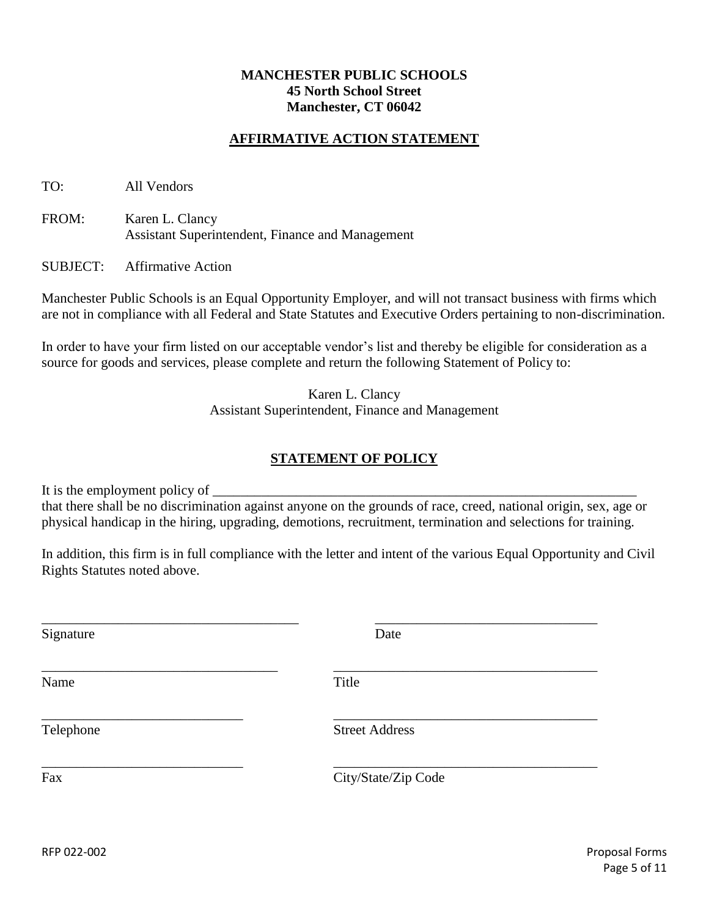### **AFFIRMATIVE ACTION STATEMENT**

TO: All Vendors

FROM: Karen L. Clancy Assistant Superintendent, Finance and Management

SUBJECT: Affirmative Action

Manchester Public Schools is an Equal Opportunity Employer, and will not transact business with firms which are not in compliance with all Federal and State Statutes and Executive Orders pertaining to non-discrimination.

In order to have your firm listed on our acceptable vendor's list and thereby be eligible for consideration as a source for goods and services, please complete and return the following Statement of Policy to:

> Karen L. Clancy Assistant Superintendent, Finance and Management

## **STATEMENT OF POLICY**

It is the employment policy of that there shall be no discrimination against anyone on the grounds of race, creed, national origin, sex, age or physical handicap in the hiring, upgrading, demotions, recruitment, termination and selections for training.

In addition, this firm is in full compliance with the letter and intent of the various Equal Opportunity and Civil Rights Statutes noted above.

| Signature | Date                  |
|-----------|-----------------------|
| Name      | Title                 |
| Telephone | <b>Street Address</b> |
| Fax       | City/State/Zip Code   |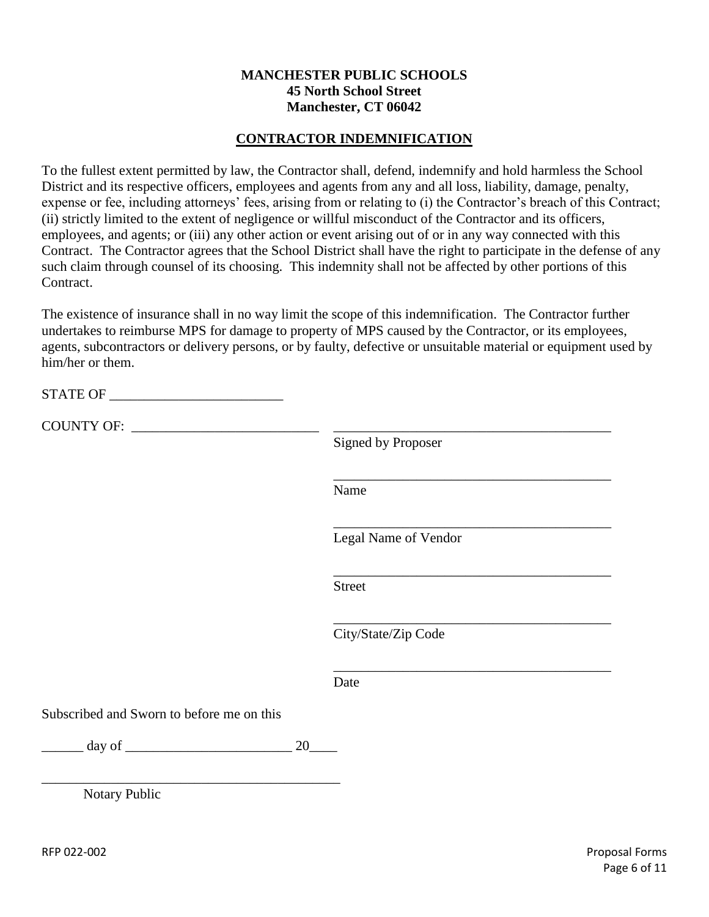### **CONTRACTOR INDEMNIFICATION**

To the fullest extent permitted by law, the Contractor shall, defend, indemnify and hold harmless the School District and its respective officers, employees and agents from any and all loss, liability, damage, penalty, expense or fee, including attorneys' fees, arising from or relating to (i) the Contractor's breach of this Contract; (ii) strictly limited to the extent of negligence or willful misconduct of the Contractor and its officers, employees, and agents; or (iii) any other action or event arising out of or in any way connected with this Contract. The Contractor agrees that the School District shall have the right to participate in the defense of any such claim through counsel of its choosing. This indemnity shall not be affected by other portions of this Contract.

The existence of insurance shall in no way limit the scope of this indemnification. The Contractor further undertakes to reimburse MPS for damage to property of MPS caused by the Contractor, or its employees, agents, subcontractors or delivery persons, or by faulty, defective or unsuitable material or equipment used by him/her or them.

|                                                          | <b>Signed by Proposer</b> |
|----------------------------------------------------------|---------------------------|
|                                                          | Name                      |
|                                                          | Legal Name of Vendor      |
|                                                          | <b>Street</b>             |
|                                                          | City/State/Zip Code       |
|                                                          | Date                      |
| Subscribed and Sworn to before me on this                |                           |
| $\qquad \qquad \text{day of} \qquad \qquad \qquad$<br>20 |                           |
| Notary Public                                            |                           |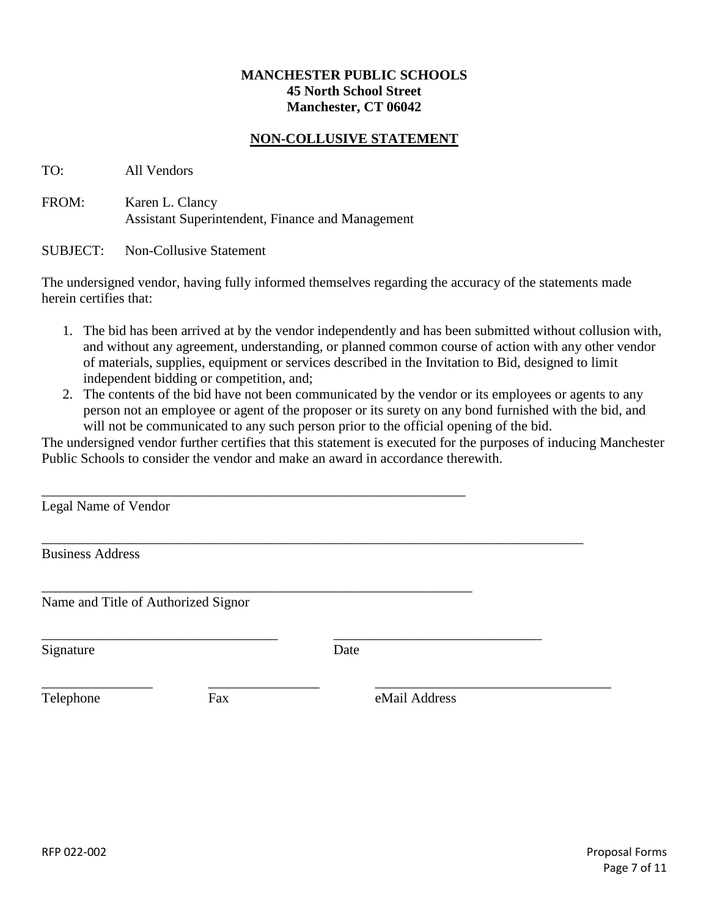### **NON-COLLUSIVE STATEMENT**

TO: All Vendors

FROM: Karen L. Clancy Assistant Superintendent, Finance and Management

SUBJECT: Non-Collusive Statement

The undersigned vendor, having fully informed themselves regarding the accuracy of the statements made herein certifies that:

- 1. The bid has been arrived at by the vendor independently and has been submitted without collusion with, and without any agreement, understanding, or planned common course of action with any other vendor of materials, supplies, equipment or services described in the Invitation to Bid, designed to limit independent bidding or competition, and;
- 2. The contents of the bid have not been communicated by the vendor or its employees or agents to any person not an employee or agent of the proposer or its surety on any bond furnished with the bid, and will not be communicated to any such person prior to the official opening of the bid.

The undersigned vendor further certifies that this statement is executed for the purposes of inducing Manchester Public Schools to consider the vendor and make an award in accordance therewith.

| Legal Name of Vendor                |     |               |  |
|-------------------------------------|-----|---------------|--|
| <b>Business Address</b>             |     |               |  |
| Name and Title of Authorized Signor |     |               |  |
| Signature                           |     | Date          |  |
| Telephone                           | Fax | eMail Address |  |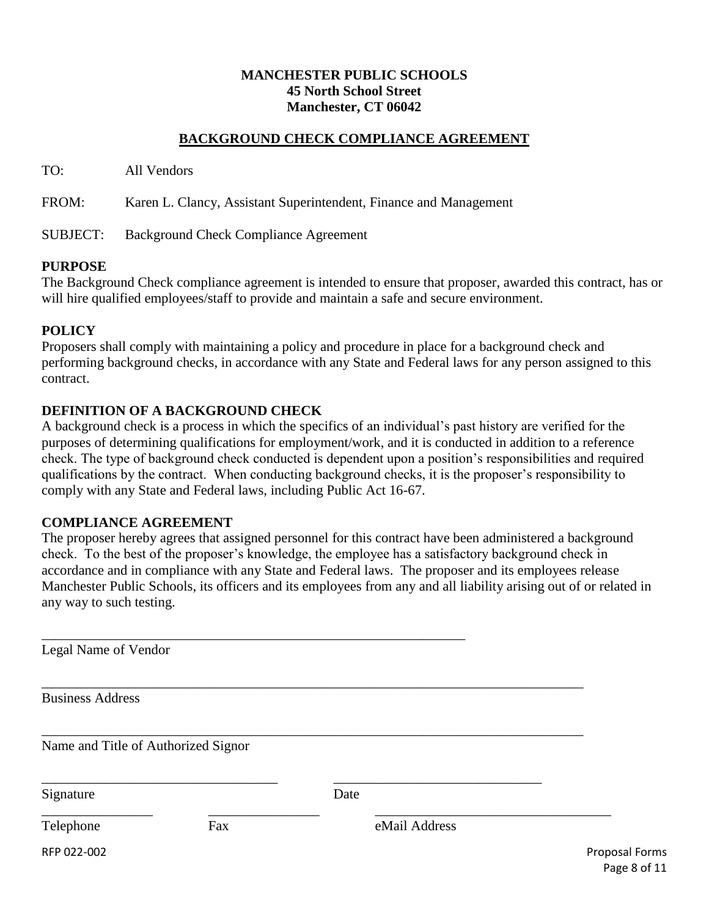### **BACKGROUND CHECK COMPLIANCE AGREEMENT**

TO: All Vendors

FROM: Karen L. Clancy, Assistant Superintendent, Finance and Management

SUBJECT: Background Check Compliance Agreement

#### **PURPOSE**

The Background Check compliance agreement is intended to ensure that proposer, awarded this contract, has or will hire qualified employees/staff to provide and maintain a safe and secure environment.

#### **POLICY**

Proposers shall comply with maintaining a policy and procedure in place for a background check and performing background checks, in accordance with any State and Federal laws for any person assigned to this contract.

### **DEFINITION OF A BACKGROUND CHECK**

A background check is a process in which the specifics of an individual's past history are verified for the purposes of determining qualifications for employment/work, and it is conducted in addition to a reference check. The type of background check conducted is dependent upon a position's responsibilities and required qualifications by the contract. When conducting background checks, it is the proposer's responsibility to comply with any State and Federal laws, including Public Act 16-67.

#### **COMPLIANCE AGREEMENT**

The proposer hereby agrees that assigned personnel for this contract have been administered a background check. To the best of the proposer's knowledge, the employee has a satisfactory background check in accordance and in compliance with any State and Federal laws. The proposer and its employees release Manchester Public Schools, its officers and its employees from any and all liability arising out of or related in any way to such testing.

RFP 022-002 Proposal Forms Page 8 of 11 \_\_\_\_\_\_\_\_\_\_\_\_\_\_\_\_\_\_\_\_\_\_\_\_\_\_\_\_\_\_\_\_\_\_\_\_\_\_\_\_\_\_\_\_\_\_\_\_\_\_\_\_\_\_\_\_\_\_\_\_\_ Legal Name of Vendor \_\_\_\_\_\_\_\_\_\_\_\_\_\_\_\_\_\_\_\_\_\_\_\_\_\_\_\_\_\_\_\_\_\_\_\_\_\_\_\_\_\_\_\_\_\_\_\_\_\_\_\_\_\_\_\_\_\_\_\_\_\_\_\_\_\_\_\_\_\_\_\_\_\_\_\_\_\_ Business Address \_\_\_\_\_\_\_\_\_\_\_\_\_\_\_\_\_\_\_\_\_\_\_\_\_\_\_\_\_\_\_\_\_\_\_\_\_\_\_\_\_\_\_\_\_\_\_\_\_\_\_\_\_\_\_\_\_\_\_\_\_\_\_\_\_\_\_\_\_\_\_\_\_\_\_\_\_\_ Name and Title of Authorized Signor \_\_\_\_\_\_\_\_\_\_\_\_\_\_\_\_\_\_\_\_\_\_\_\_\_\_\_\_\_\_\_\_\_\_ \_\_\_\_\_\_\_\_\_\_\_\_\_\_\_\_\_\_\_\_\_\_\_\_\_\_\_\_\_\_ Signature Date \_\_\_\_\_\_\_\_\_\_\_\_\_\_\_\_ \_\_\_\_\_\_\_\_\_\_\_\_\_\_\_\_ \_\_\_\_\_\_\_\_\_\_\_\_\_\_\_\_\_\_\_\_\_\_\_\_\_\_\_\_\_\_\_\_\_\_ Telephone Fax eMail Address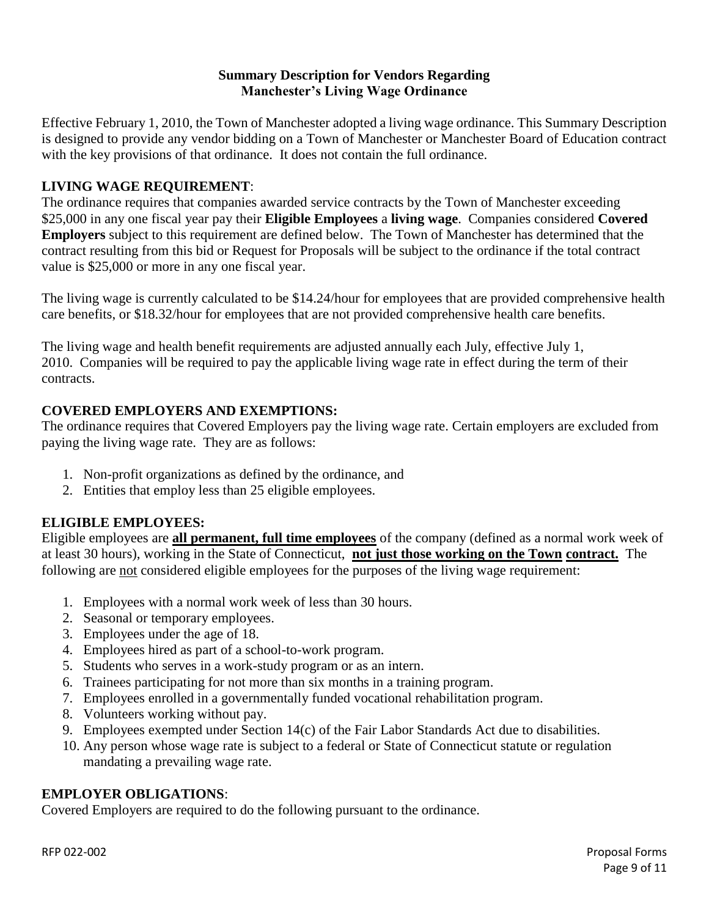### **Summary Description for Vendors Regarding Manchester's Living Wage Ordinance**

Effective February 1, 2010, the Town of Manchester adopted a living wage ordinance. This Summary Description is designed to provide any vendor bidding on a Town of Manchester or Manchester Board of Education contract with the key provisions of that ordinance. It does not contain the full ordinance.

# **LIVING WAGE REQUIREMENT**:

The ordinance requires that companies awarded service contracts by the Town of Manchester exceeding \$25,000 in any one fiscal year pay their **Eligible Employees** a **living wage**. Companies considered **Covered Employers** subject to this requirement are defined below. The Town of Manchester has determined that the contract resulting from this bid or Request for Proposals will be subject to the ordinance if the total contract value is \$25,000 or more in any one fiscal year.

The living wage is currently calculated to be \$14.24/hour for employees that are provided comprehensive health care benefits, or \$18.32/hour for employees that are not provided comprehensive health care benefits.

The living wage and health benefit requirements are adjusted annually each July, effective July 1, 2010. Companies will be required to pay the applicable living wage rate in effect during the term of their contracts.

# **COVERED EMPLOYERS AND EXEMPTIONS:**

The ordinance requires that Covered Employers pay the living wage rate. Certain employers are excluded from paying the living wage rate. They are as follows:

- 1. Non-profit organizations as defined by the ordinance, and
- 2. Entities that employ less than 25 eligible employees.

## **ELIGIBLE EMPLOYEES:**

Eligible employees are **all permanent, full time employees** of the company (defined as a normal work week of at least 30 hours), working in the State of Connecticut, **not just those working on the Town contract.** The following are not considered eligible employees for the purposes of the living wage requirement:

- 1. Employees with a normal work week of less than 30 hours.
- 2. Seasonal or temporary employees.
- 3. Employees under the age of 18.
- 4. Employees hired as part of a school-to-work program.
- 5. Students who serves in a work-study program or as an intern.
- 6. Trainees participating for not more than six months in a training program.
- 7. Employees enrolled in a governmentally funded vocational rehabilitation program.
- 8. Volunteers working without pay.
- 9. Employees exempted under Section 14(c) of the Fair Labor Standards Act due to disabilities.
- 10. Any person whose wage rate is subject to a federal or State of Connecticut statute or regulation mandating a prevailing wage rate.

# **EMPLOYER OBLIGATIONS**:

Covered Employers are required to do the following pursuant to the ordinance.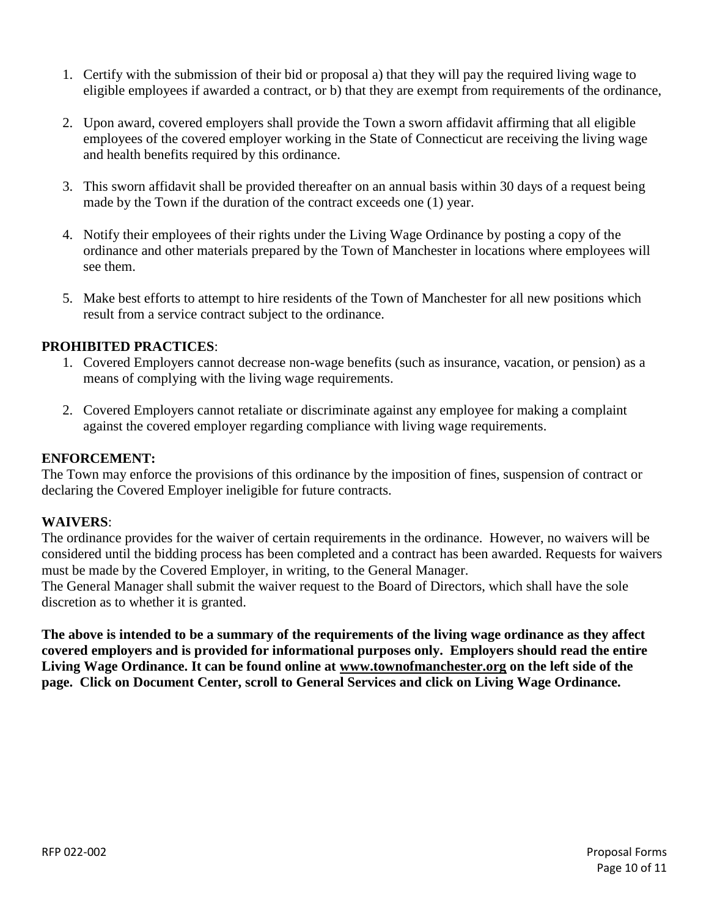- 1. Certify with the submission of their bid or proposal a) that they will pay the required living wage to eligible employees if awarded a contract, or b) that they are exempt from requirements of the ordinance,
- 2. Upon award, covered employers shall provide the Town a sworn affidavit affirming that all eligible employees of the covered employer working in the State of Connecticut are receiving the living wage and health benefits required by this ordinance.
- 3. This sworn affidavit shall be provided thereafter on an annual basis within 30 days of a request being made by the Town if the duration of the contract exceeds one (1) year.
- 4. Notify their employees of their rights under the Living Wage Ordinance by posting a copy of the ordinance and other materials prepared by the Town of Manchester in locations where employees will see them.
- 5. Make best efforts to attempt to hire residents of the Town of Manchester for all new positions which result from a service contract subject to the ordinance.

### **PROHIBITED PRACTICES**:

- 1. Covered Employers cannot decrease non-wage benefits (such as insurance, vacation, or pension) as a means of complying with the living wage requirements.
- 2. Covered Employers cannot retaliate or discriminate against any employee for making a complaint against the covered employer regarding compliance with living wage requirements.

### **ENFORCEMENT:**

The Town may enforce the provisions of this ordinance by the imposition of fines, suspension of contract or declaring the Covered Employer ineligible for future contracts.

#### **WAIVERS**:

The ordinance provides for the waiver of certain requirements in the ordinance. However, no waivers will be considered until the bidding process has been completed and a contract has been awarded. Requests for waivers must be made by the Covered Employer, in writing, to the General Manager.

The General Manager shall submit the waiver request to the Board of Directors, which shall have the sole discretion as to whether it is granted.

**The above is intended to be a summary of the requirements of the living wage ordinance as they affect covered employers and is provided for informational purposes only. Employers should read the entire Living Wage Ordinance. It can be found online at [www.townofmanchester.org](http://www.townofmanchester.org/) [o](http://www.townofmanchester.org/)n the left side of the page. Click on Document Center, scroll to General Services and click on Living Wage Ordinance.**